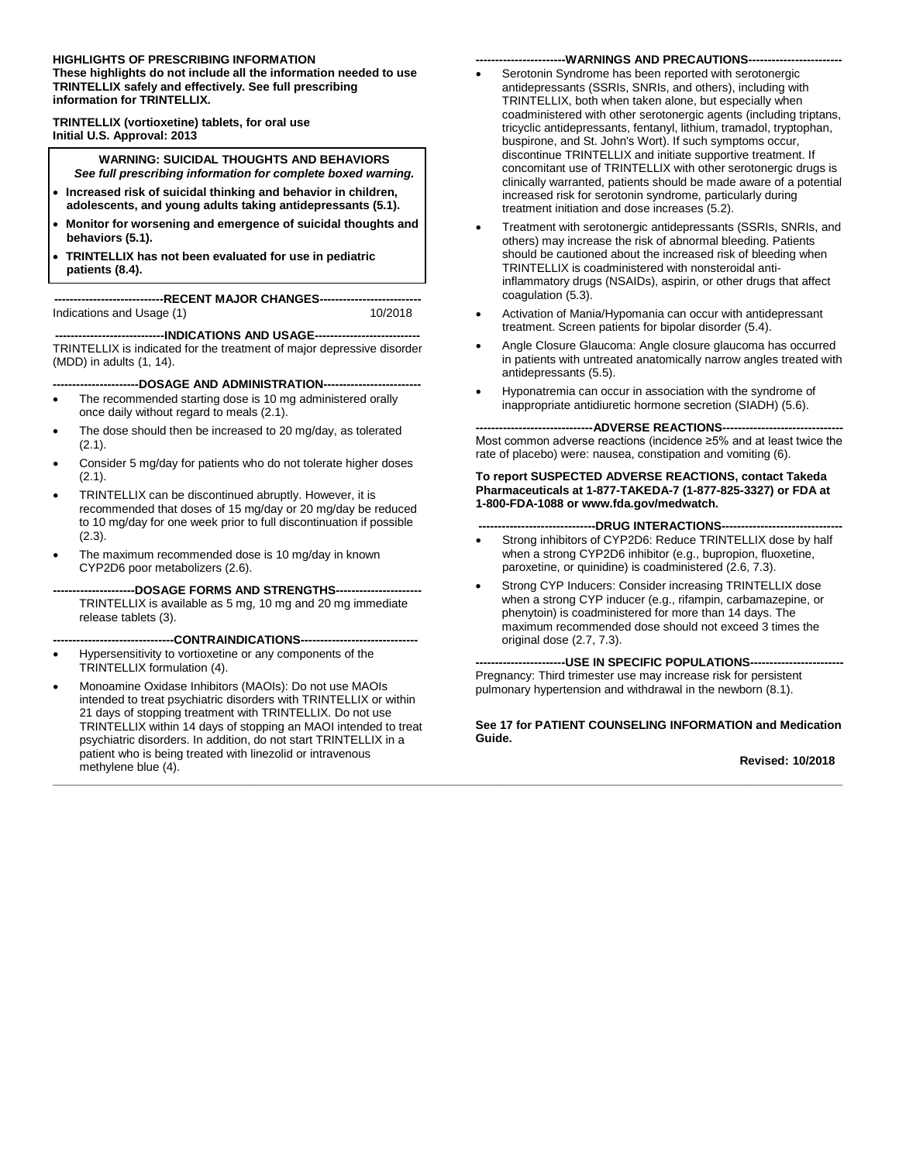#### **HIGHLIGHTS OF PRESCRIBING INFORMATION**

**These highlights do not include all the information needed to use TRINTELLIX safely and effectively. See full prescribing information for TRINTELLIX.**

**TRINTELLIX (vortioxetine) tablets, for oral use Initial U.S. Approval: 2013**

**WARNING: SUICIDAL THOUGHTS AND BEHAVIORS** *See full prescribing information for complete boxed warning.*

- **Increased risk of suicidal thinking and behavior in children, adolescents, and young adults taking antidepressants (5.1).**
- **Monitor for worsening and emergence of suicidal thoughts and behaviors (5.1).**
- **TRINTELLIX has not been evaluated for use in pediatric patients (8.4).**

**----------------------------RECENT MAJOR CHANGES--------------------------** Indications and Usage (1)

**----------------------------INDICATIONS AND USAGE---------------------------** TRINTELLIX is indicated for the treatment of major depressive disorder (MDD) in adults (1, 14).

**----DOSAGE AND ADMINISTRATION----**

- The recommended starting dose is 10 mg administered orally once daily without regard to meals (2.1).
- The dose should then be increased to 20 mg/day, as tolerated (2.1).
- Consider 5 mg/day for patients who do not tolerate higher doses (2.1).
- TRINTELLIX can be discontinued abruptly. However, it is recommended that doses of 15 mg/day or 20 mg/day be reduced to 10 mg/day for one week prior to full discontinuation if possible (2.3).
- The maximum recommended dose is 10 mg/day in known CYP2D6 poor metabolizers (2.6).
- --DOSAGE FORMS AND STRENGTHS--TRINTELLIX is available as 5 mg, 10 mg and 20 mg immediate release tablets (3).

**-------------------------------CONTRAINDICATIONS------------------------------**

- Hypersensitivity to vortioxetine or any components of the TRINTELLIX formulation (4).
- Monoamine Oxidase Inhibitors (MAOIs): Do not use MAOIs intended to treat psychiatric disorders with TRINTELLIX or within 21 days of stopping treatment with TRINTELLIX. Do not use TRINTELLIX within 14 days of stopping an MAOI intended to treat psychiatric disorders. In addition, do not start TRINTELLIX in a patient who is being treated with linezolid or intravenous methylene blue (4).

#### -WARNINGS AND PRECAUTIONS--

- Serotonin Syndrome has been reported with serotonergic antidepressants (SSRIs, SNRIs, and others), including with TRINTELLIX, both when taken alone, but especially when coadministered with other serotonergic agents (including triptans, tricyclic antidepressants, fentanyl, lithium, tramadol, tryptophan, buspirone, and St. John's Wort). If such symptoms occur, discontinue TRINTELLIX and initiate supportive treatment. If concomitant use of TRINTELLIX with other serotonergic drugs is clinically warranted, patients should be made aware of a potential increased risk for serotonin syndrome, particularly during treatment initiation and dose increases (5.2).
- Treatment with serotonergic antidepressants (SSRIs, SNRIs, and others) may increase the risk of abnormal bleeding. Patients should be cautioned about the increased risk of bleeding when TRINTELLIX is coadministered with nonsteroidal antiinflammatory drugs (NSAIDs), aspirin, or other drugs that affect coagulation (5.3).
- Activation of Mania/Hypomania can occur with antidepressant treatment. Screen patients for bipolar disorder (5.4).
- Angle Closure Glaucoma: Angle closure glaucoma has occurred in patients with untreated anatomically narrow angles treated with antidepressants (5.5).
- Hyponatremia can occur in association with the syndrome of inappropriate antidiuretic hormone secretion (SIADH) (5.6).

---ADVERSE REACTIONS-Most common adverse reactions (incidence ≥5% and at least twice the rate of placebo) were: nausea, constipation and vomiting (6).

**To report SUSPECTED ADVERSE REACTIONS, contact Takeda Pharmaceuticals at 1-877-TAKEDA-7 (1-877-825-3327) or FDA at 1-800-FDA-1088 or www.fda.gov/medwatch.**

#### --DRUG INTERACTIONS--

- Strong inhibitors of CYP2D6: Reduce TRINTELLIX dose by half when a strong CYP2D6 inhibitor (e.g., bupropion, fluoxetine, paroxetine, or quinidine) is coadministered (2.6, 7.3).
- Strong CYP Inducers: Consider increasing TRINTELLIX dose when a strong CYP inducer (e.g., rifampin, carbamazepine, or phenytoin) is coadministered for more than 14 days. The maximum recommended dose should not exceed 3 times the original dose (2.7, 7.3).

**-----------------------USE IN SPECIFIC POPULATIONS------------------------** Pregnancy: Third trimester use may increase risk for persistent pulmonary hypertension and withdrawal in the newborn (8.1).

**\_\_\_\_\_\_\_\_\_\_\_\_\_\_\_\_\_\_\_\_\_\_\_\_\_\_\_\_\_\_\_\_\_\_\_\_\_\_\_\_\_\_\_\_\_\_\_\_\_\_\_\_\_\_\_\_\_\_\_\_\_\_\_\_\_\_\_\_\_\_\_\_\_\_\_\_\_\_\_\_\_\_\_\_\_\_\_\_\_\_\_\_\_\_\_\_\_\_\_\_\_\_\_\_\_\_\_\_\_\_\_\_\_\_\_\_\_\_\_\_\_**

#### **See 17 for PATIENT COUNSELING INFORMATION and Medication Guide.**

**Revised: 10/2018**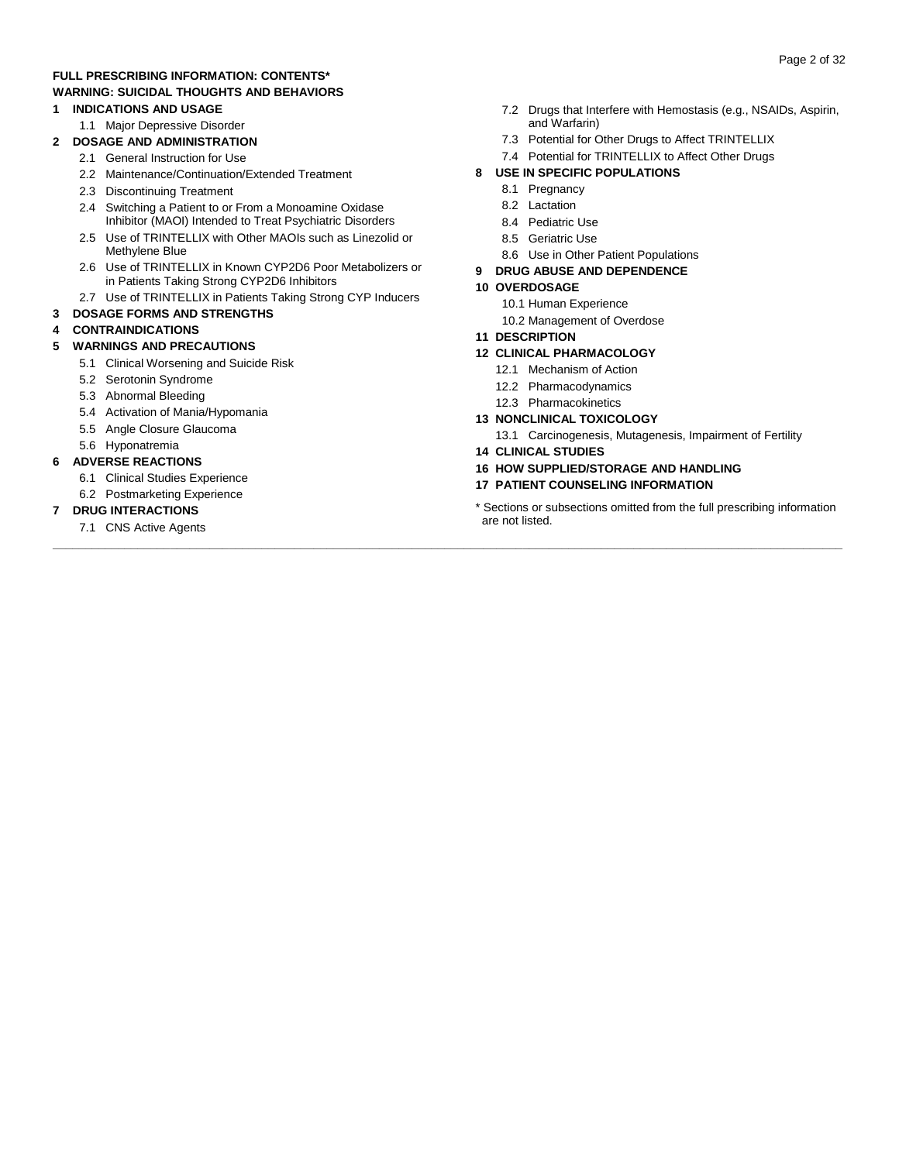#### **FULL PRESCRIBING INFORMATION: CONTENTS\* WARNING: SUICIDAL THOUGHTS AND BEHAVIORS**

#### **1 INDICATIONS AND USAGE**

- 1.1 Major Depressive Disorder
- **2 DOSAGE AND ADMINISTRATION**
	- 2.1 General Instruction for Use
	- 2.2 Maintenance/Continuation/Extended Treatment
	- 2.3 Discontinuing Treatment
	- 2.4 Switching a Patient to or From a Monoamine Oxidase Inhibitor (MAOI) Intended to Treat Psychiatric Disorders
	- 2.5 Use of TRINTELLIX with Other MAOIs such as Linezolid or Methylene Blue
	- 2.6 Use of TRINTELLIX in Known CYP2D6 Poor Metabolizers or in Patients Taking Strong CYP2D6 Inhibitors
	- 2.7 Use of TRINTELLIX in Patients Taking Strong CYP Inducers
- **3 DOSAGE FORMS AND STRENGTHS**

#### **4 CONTRAINDICATIONS**

#### **5 WARNINGS AND PRECAUTIONS**

- 5.1 Clinical Worsening and Suicide Risk
- 5.2 Serotonin Syndrome
- 5.3 Abnormal Bleeding
- 5.4 Activation of Mania/Hypomania
- 5.5 Angle Closure Glaucoma
- 5.6 Hyponatremia

#### **6 ADVERSE REACTIONS**

- 6.1 Clinical Studies Experience
- 6.2 Postmarketing Experience

#### **7 DRUG INTERACTIONS**

7.1 CNS Active Agents

- 7.3 Potential for Other Drugs to Affect TRINTELLIX
- 7.4 Potential for TRINTELLIX to Affect Other Drugs

#### **8 USE IN SPECIFIC POPULATIONS**

- 8.1 Pregnancy
- 8.2 Lactation
- 8.4 Pediatric Use
- 8.5 Geriatric Use
- 8.6 Use in Other Patient Populations

#### **9 DRUG ABUSE AND DEPENDENCE**

#### **10 OVERDOSAGE**

- 10.1 Human Experience
- 10.2 Management of Overdose

#### **11 DESCRIPTION**

- **12 CLINICAL PHARMACOLOGY**
	- 12.1 Mechanism of Action
	- 12.2 Pharmacodynamics
	- 12.3 Pharmacokinetics
- **13 NONCLINICAL TOXICOLOGY**
	- 13.1 Carcinogenesis, Mutagenesis, Impairment of Fertility
- **14 CLINICAL STUDIES**

**\_\_\_\_\_\_\_\_\_\_\_\_\_\_\_\_\_\_\_\_\_\_\_\_\_\_\_\_\_\_\_\_\_\_\_\_\_\_\_\_\_\_\_\_\_\_\_\_\_\_\_\_\_\_\_\_\_\_\_\_\_\_\_\_\_\_\_\_\_\_\_\_\_\_\_\_\_\_\_\_\_\_\_\_\_\_\_\_\_\_\_\_\_\_\_\_\_\_\_\_\_\_\_\_\_\_\_\_\_\_\_\_\_\_\_\_\_\_\_\_\_**

- **16 HOW SUPPLIED/STORAGE AND HANDLING**
- **17 PATIENT COUNSELING INFORMATION**

#### \* Sections or subsections omitted from the full prescribing information are not listed.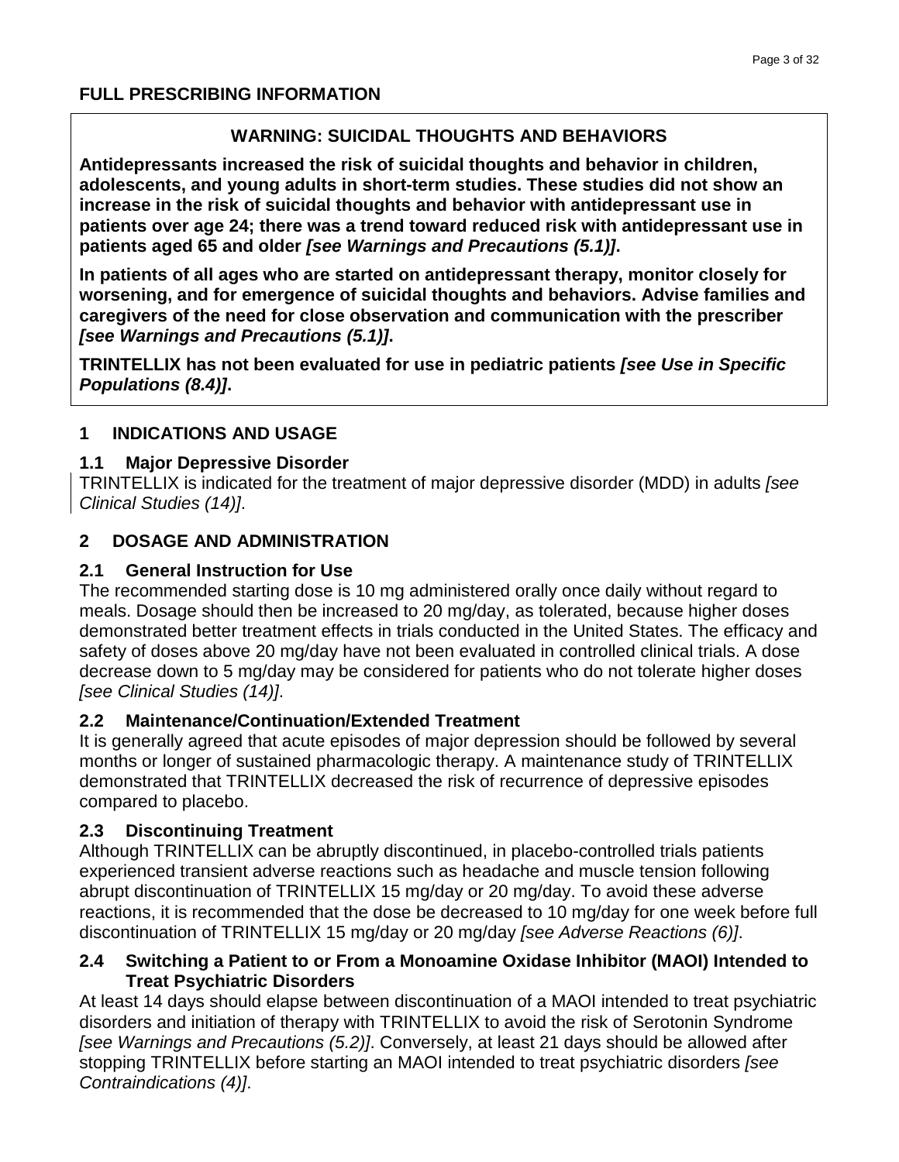#### **FULL PRESCRIBING INFORMATION**

### **WARNING: SUICIDAL THOUGHTS AND BEHAVIORS**

**Antidepressants increased the risk of suicidal thoughts and behavior in children, adolescents, and young adults in short-term studies. These studies did not show an increase in the risk of suicidal thoughts and behavior with antidepressant use in patients over age 24; there was a trend toward reduced risk with antidepressant use in patients aged 65 and older** *[see Warnings and Precautions (5.1)]***.**

**In patients of all ages who are started on antidepressant therapy, monitor closely for worsening, and for emergence of suicidal thoughts and behaviors. Advise families and caregivers of the need for close observation and communication with the prescriber** *[see Warnings and Precautions (5.1)]***.**

**TRINTELLIX has not been evaluated for use in pediatric patients** *[see Use in Specific Populations (8.4)]***.**

#### **1 INDICATIONS AND USAGE**

#### **1.1 Major Depressive Disorder**

TRINTELLIX is indicated for the treatment of major depressive disorder (MDD) in adults *[see Clinical Studies (14)]*.

#### **2 DOSAGE AND ADMINISTRATION**

#### **2.1 General Instruction for Use**

The recommended starting dose is 10 mg administered orally once daily without regard to meals. Dosage should then be increased to 20 mg/day, as tolerated, because higher doses demonstrated better treatment effects in trials conducted in the United States. The efficacy and safety of doses above 20 mg/day have not been evaluated in controlled clinical trials. A dose decrease down to 5 mg/day may be considered for patients who do not tolerate higher doses *[see Clinical Studies (14)]*.

#### **2.2 Maintenance/Continuation/Extended Treatment**

It is generally agreed that acute episodes of major depression should be followed by several months or longer of sustained pharmacologic therapy. A maintenance study of TRINTELLIX demonstrated that TRINTELLIX decreased the risk of recurrence of depressive episodes compared to placebo.

#### **2.3 Discontinuing Treatment**

Although TRINTELLIX can be abruptly discontinued, in placebo-controlled trials patients experienced transient adverse reactions such as headache and muscle tension following abrupt discontinuation of TRINTELLIX 15 mg/day or 20 mg/day. To avoid these adverse reactions, it is recommended that the dose be decreased to 10 mg/day for one week before full discontinuation of TRINTELLIX 15 mg/day or 20 mg/day *[see Adverse Reactions (6)]*.

#### **2.4 Switching a Patient to or From a Monoamine Oxidase Inhibitor (MAOI) Intended to Treat Psychiatric Disorders**

At least 14 days should elapse between discontinuation of a MAOI intended to treat psychiatric disorders and initiation of therapy with TRINTELLIX to avoid the risk of Serotonin Syndrome *[see Warnings and Precautions (5.2)]*. Conversely, at least 21 days should be allowed after stopping TRINTELLIX before starting an MAOI intended to treat psychiatric disorders *[see Contraindications (4)]*.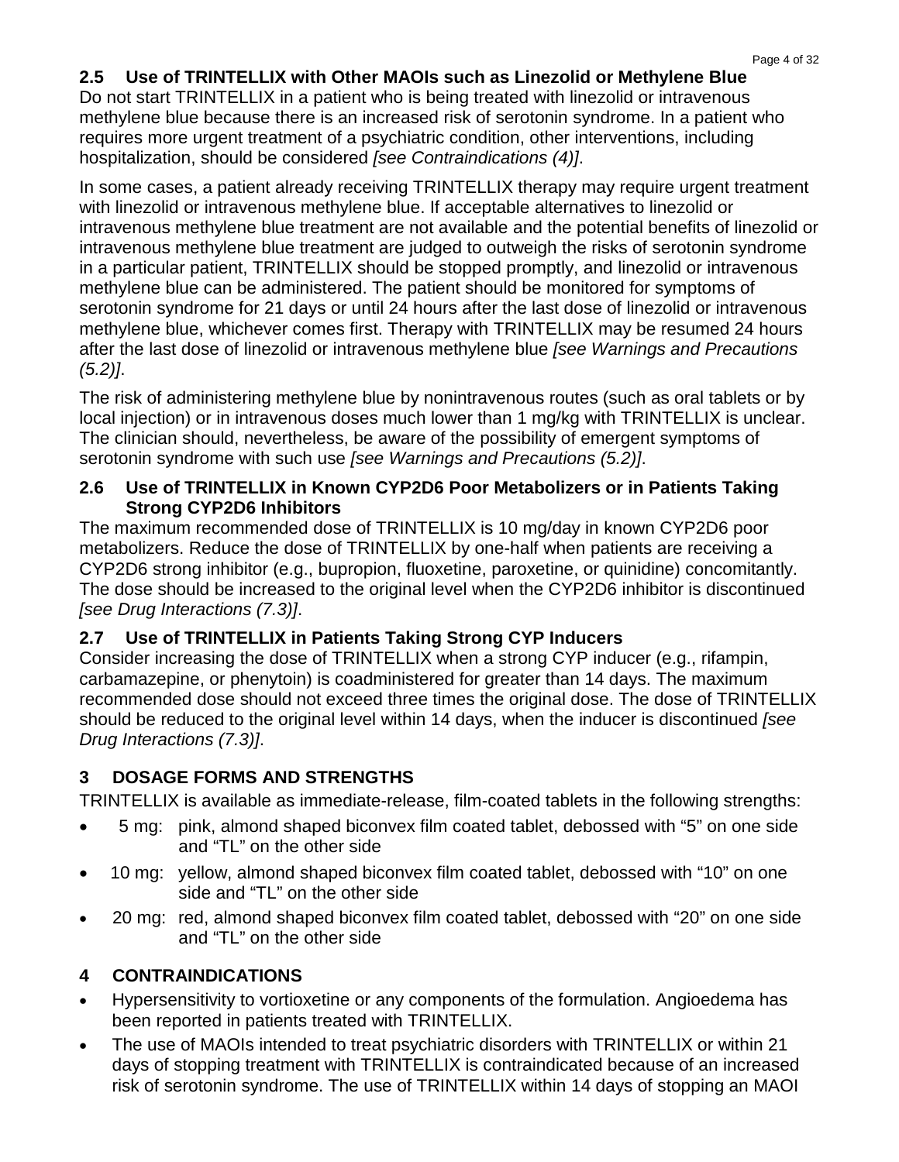### **2.5 Use of TRINTELLIX with Other MAOIs such as Linezolid or Methylene Blue**

Do not start TRINTELLIX in a patient who is being treated with linezolid or intravenous methylene blue because there is an increased risk of serotonin syndrome. In a patient who requires more urgent treatment of a psychiatric condition, other interventions, including hospitalization, should be considered *[see Contraindications (4)]*.

In some cases, a patient already receiving TRINTELLIX therapy may require urgent treatment with linezolid or intravenous methylene blue. If acceptable alternatives to linezolid or intravenous methylene blue treatment are not available and the potential benefits of linezolid or intravenous methylene blue treatment are judged to outweigh the risks of serotonin syndrome in a particular patient, TRINTELLIX should be stopped promptly, and linezolid or intravenous methylene blue can be administered. The patient should be monitored for symptoms of serotonin syndrome for 21 days or until 24 hours after the last dose of linezolid or intravenous methylene blue, whichever comes first. Therapy with TRINTELLIX may be resumed 24 hours after the last dose of linezolid or intravenous methylene blue *[see Warnings and Precautions (5.2)]*.

The risk of administering methylene blue by nonintravenous routes (such as oral tablets or by local injection) or in intravenous doses much lower than 1 mg/kg with TRINTELLIX is unclear. The clinician should, nevertheless, be aware of the possibility of emergent symptoms of serotonin syndrome with such use *[see Warnings and Precautions (5.2)]*.

#### **2.6 Use of TRINTELLIX in Known CYP2D6 Poor Metabolizers or in Patients Taking Strong CYP2D6 Inhibitors**

The maximum recommended dose of TRINTELLIX is 10 mg/day in known CYP2D6 poor metabolizers. Reduce the dose of TRINTELLIX by one-half when patients are receiving a CYP2D6 strong inhibitor (e.g., bupropion, fluoxetine, paroxetine, or quinidine) concomitantly. The dose should be increased to the original level when the CYP2D6 inhibitor is discontinued *[see Drug Interactions (7.3)]*.

# **2.7 Use of TRINTELLIX in Patients Taking Strong CYP Inducers**

Consider increasing the dose of TRINTELLIX when a strong CYP inducer (e.g., rifampin, carbamazepine, or phenytoin) is coadministered for greater than 14 days. The maximum recommended dose should not exceed three times the original dose. The dose of TRINTELLIX should be reduced to the original level within 14 days, when the inducer is discontinued *[see Drug Interactions (7.3)]*.

# **3 DOSAGE FORMS AND STRENGTHS**

TRINTELLIX is available as immediate-release, film-coated tablets in the following strengths:

- 5 mg: pink, almond shaped biconvex film coated tablet, debossed with "5" on one side and "TL" on the other side
- 10 mg: yellow, almond shaped biconvex film coated tablet, debossed with "10" on one side and "TL" on the other side
- 20 mg: red, almond shaped biconvex film coated tablet, debossed with "20" on one side and "TL" on the other side

# **4 CONTRAINDICATIONS**

- Hypersensitivity to vortioxetine or any components of the formulation. Angioedema has been reported in patients treated with TRINTELLIX.
- The use of MAOIs intended to treat psychiatric disorders with TRINTELLIX or within 21 days of stopping treatment with TRINTELLIX is contraindicated because of an increased risk of serotonin syndrome. The use of TRINTELLIX within 14 days of stopping an MAOI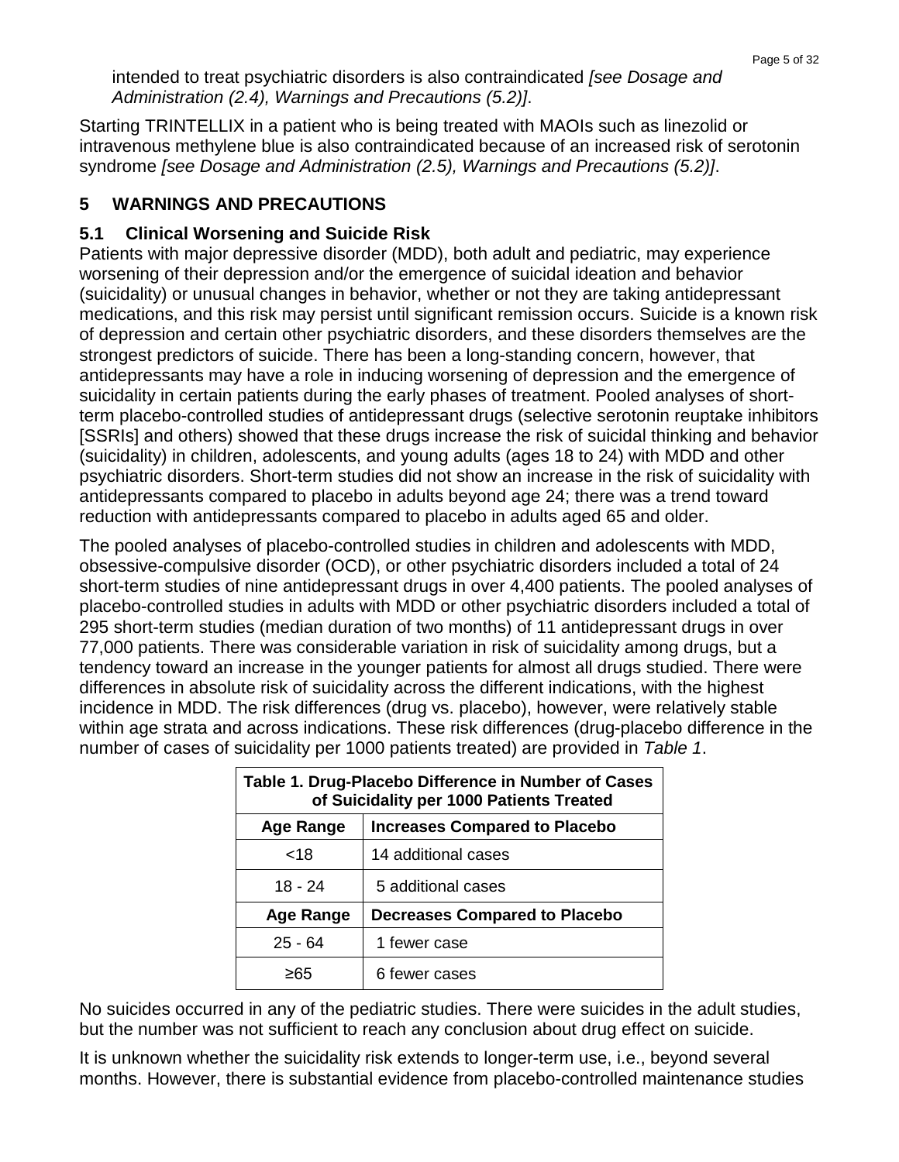intended to treat psychiatric disorders is also contraindicated *[see Dosage and Administration (2.4), Warnings and Precautions (5.2)]*.

Starting TRINTELLIX in a patient who is being treated with MAOIs such as linezolid or intravenous methylene blue is also contraindicated because of an increased risk of serotonin syndrome *[see Dosage and Administration (2.5), Warnings and Precautions (5.2)]*.

#### **5 WARNINGS AND PRECAUTIONS**

#### **5.1 Clinical Worsening and Suicide Risk**

Patients with major depressive disorder (MDD), both adult and pediatric, may experience worsening of their depression and/or the emergence of suicidal ideation and behavior (suicidality) or unusual changes in behavior, whether or not they are taking antidepressant medications, and this risk may persist until significant remission occurs. Suicide is a known risk of depression and certain other psychiatric disorders, and these disorders themselves are the strongest predictors of suicide. There has been a long-standing concern, however, that antidepressants may have a role in inducing worsening of depression and the emergence of suicidality in certain patients during the early phases of treatment. Pooled analyses of shortterm placebo-controlled studies of antidepressant drugs (selective serotonin reuptake inhibitors [SSRIs] and others) showed that these drugs increase the risk of suicidal thinking and behavior (suicidality) in children, adolescents, and young adults (ages 18 to 24) with MDD and other psychiatric disorders. Short-term studies did not show an increase in the risk of suicidality with antidepressants compared to placebo in adults beyond age 24; there was a trend toward reduction with antidepressants compared to placebo in adults aged 65 and older.

The pooled analyses of placebo-controlled studies in children and adolescents with MDD, obsessive-compulsive disorder (OCD), or other psychiatric disorders included a total of 24 short-term studies of nine antidepressant drugs in over 4,400 patients. The pooled analyses of placebo-controlled studies in adults with MDD or other psychiatric disorders included a total of 295 short-term studies (median duration of two months) of 11 antidepressant drugs in over 77,000 patients. There was considerable variation in risk of suicidality among drugs, but a tendency toward an increase in the younger patients for almost all drugs studied. There were differences in absolute risk of suicidality across the different indications, with the highest incidence in MDD. The risk differences (drug vs. placebo), however, were relatively stable within age strata and across indications. These risk differences (drug-placebo difference in the number of cases of suicidality per 1000 patients treated) are provided in *Table 1*.

| Table 1. Drug-Placebo Difference in Number of Cases<br>of Suicidality per 1000 Patients Treated |                     |  |  |  |
|-------------------------------------------------------------------------------------------------|---------------------|--|--|--|
| <b>Increases Compared to Placebo</b><br>Age Range                                               |                     |  |  |  |
| <18                                                                                             | 14 additional cases |  |  |  |
| 18 - 24<br>5 additional cases                                                                   |                     |  |  |  |
| <b>Decreases Compared to Placebo</b><br>Age Range                                               |                     |  |  |  |
| $25 - 64$                                                                                       | 1 fewer case        |  |  |  |
| >65                                                                                             | 6 fewer cases       |  |  |  |

No suicides occurred in any of the pediatric studies. There were suicides in the adult studies, but the number was not sufficient to reach any conclusion about drug effect on suicide.

It is unknown whether the suicidality risk extends to longer-term use, i.e., beyond several months. However, there is substantial evidence from placebo-controlled maintenance studies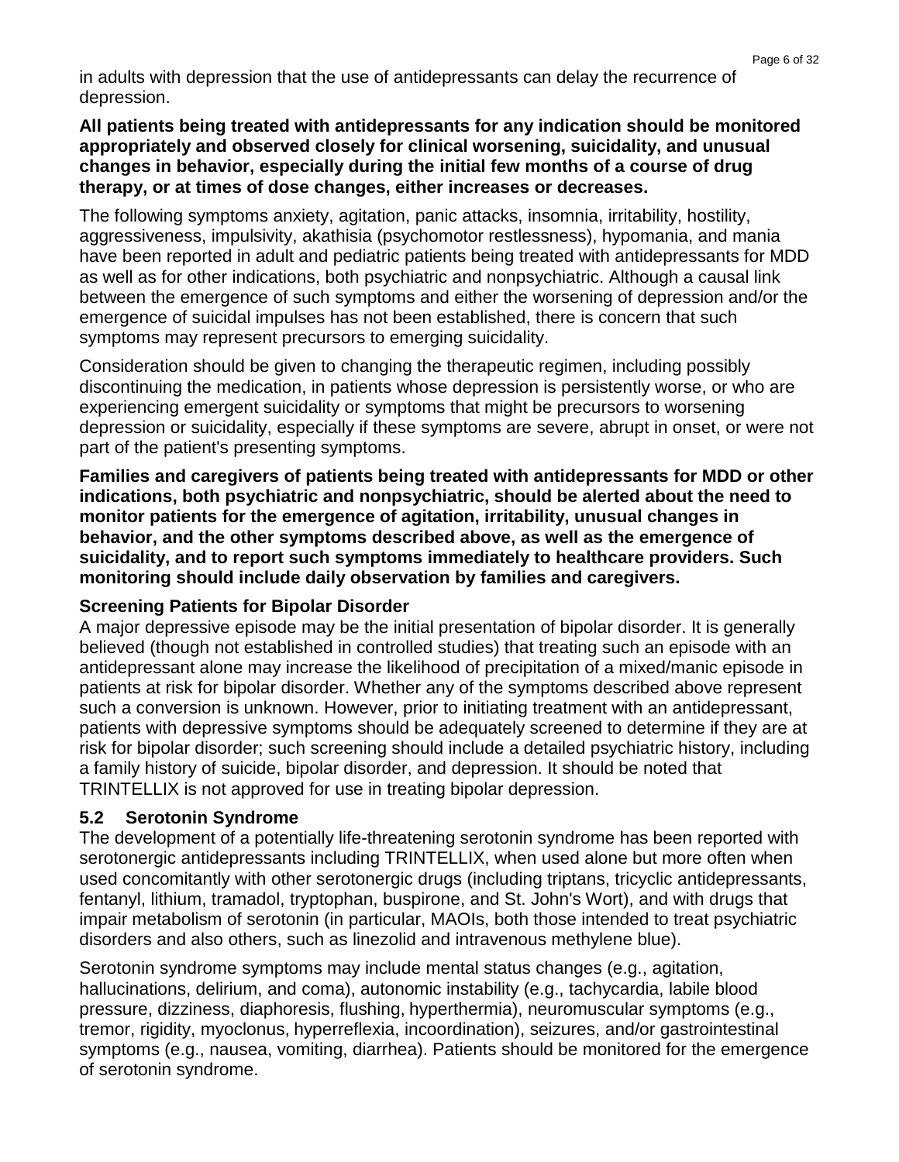in adults with depression that the use of antidepressants can delay the recurrence of depression.

#### **All patients being treated with antidepressants for any indication should be monitored appropriately and observed closely for clinical worsening, suicidality, and unusual changes in behavior, especially during the initial few months of a course of drug therapy, or at times of dose changes, either increases or decreases.**

The following symptoms anxiety, agitation, panic attacks, insomnia, irritability, hostility, aggressiveness, impulsivity, akathisia (psychomotor restlessness), hypomania, and mania have been reported in adult and pediatric patients being treated with antidepressants for MDD as well as for other indications, both psychiatric and nonpsychiatric. Although a causal link between the emergence of such symptoms and either the worsening of depression and/or the emergence of suicidal impulses has not been established, there is concern that such symptoms may represent precursors to emerging suicidality.

Consideration should be given to changing the therapeutic regimen, including possibly discontinuing the medication, in patients whose depression is persistently worse, or who are experiencing emergent suicidality or symptoms that might be precursors to worsening depression or suicidality, especially if these symptoms are severe, abrupt in onset, or were not part of the patient's presenting symptoms.

**Families and caregivers of patients being treated with antidepressants for MDD or other indications, both psychiatric and nonpsychiatric, should be alerted about the need to monitor patients for the emergence of agitation, irritability, unusual changes in behavior, and the other symptoms described above, as well as the emergence of suicidality, and to report such symptoms immediately to healthcare providers. Such monitoring should include daily observation by families and caregivers.**

### **Screening Patients for Bipolar Disorder**

A major depressive episode may be the initial presentation of bipolar disorder. It is generally believed (though not established in controlled studies) that treating such an episode with an antidepressant alone may increase the likelihood of precipitation of a mixed/manic episode in patients at risk for bipolar disorder. Whether any of the symptoms described above represent such a conversion is unknown. However, prior to initiating treatment with an antidepressant, patients with depressive symptoms should be adequately screened to determine if they are at risk for bipolar disorder; such screening should include a detailed psychiatric history, including a family history of suicide, bipolar disorder, and depression. It should be noted that TRINTELLIX is not approved for use in treating bipolar depression.

### **5.2 Serotonin Syndrome**

The development of a potentially life-threatening serotonin syndrome has been reported with serotonergic antidepressants including TRINTELLIX, when used alone but more often when used concomitantly with other serotonergic drugs (including triptans, tricyclic antidepressants, fentanyl, lithium, tramadol, tryptophan, buspirone, and St. John's Wort), and with drugs that impair metabolism of serotonin (in particular, MAOIs, both those intended to treat psychiatric disorders and also others, such as linezolid and intravenous methylene blue).

Serotonin syndrome symptoms may include mental status changes (e.g., agitation, hallucinations, delirium, and coma), autonomic instability (e.g., tachycardia, labile blood pressure, dizziness, diaphoresis, flushing, hyperthermia), neuromuscular symptoms (e.g., tremor, rigidity, myoclonus, hyperreflexia, incoordination), seizures, and/or gastrointestinal symptoms (e.g., nausea, vomiting, diarrhea). Patients should be monitored for the emergence of serotonin syndrome.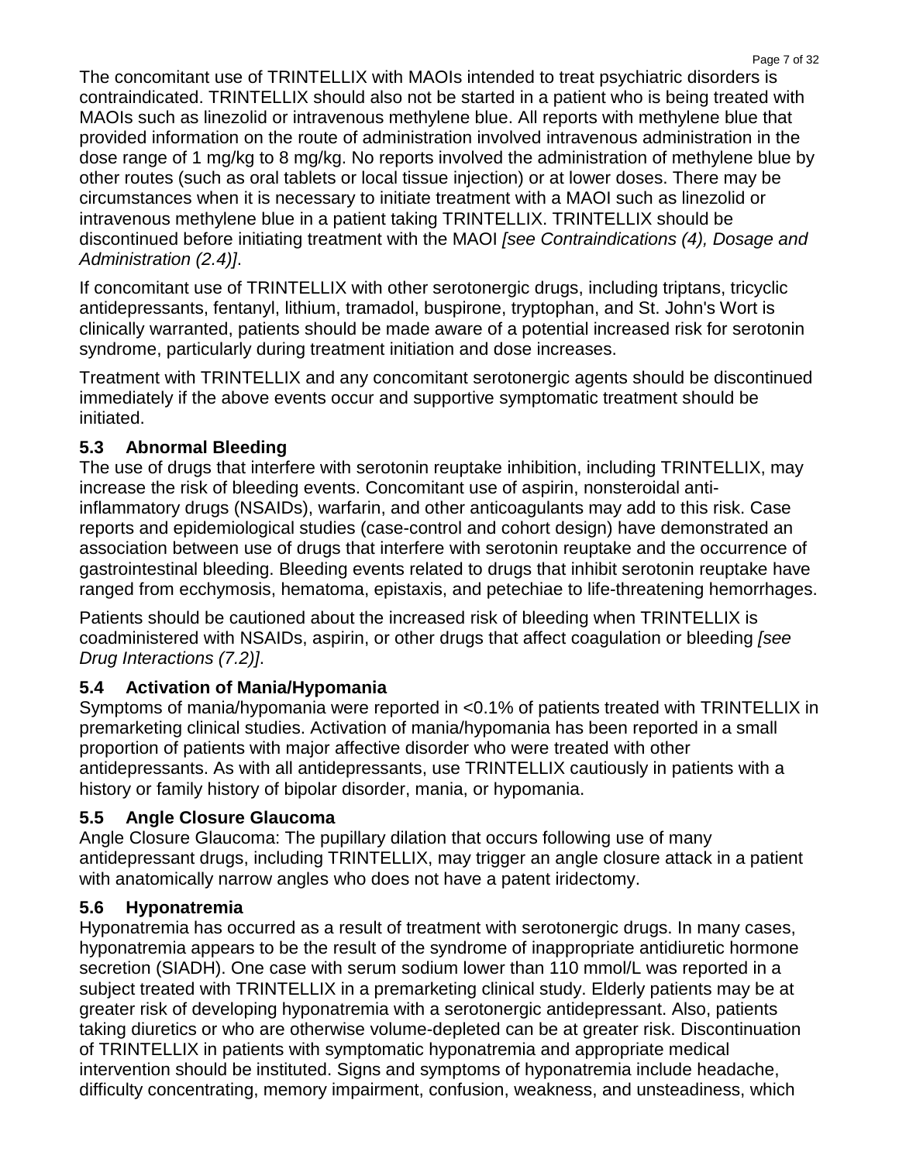The concomitant use of TRINTELLIX with MAOIs intended to treat psychiatric disorders is contraindicated. TRINTELLIX should also not be started in a patient who is being treated with MAOIs such as linezolid or intravenous methylene blue. All reports with methylene blue that provided information on the route of administration involved intravenous administration in the dose range of 1 mg/kg to 8 mg/kg. No reports involved the administration of methylene blue by other routes (such as oral tablets or local tissue injection) or at lower doses. There may be circumstances when it is necessary to initiate treatment with a MAOI such as linezolid or intravenous methylene blue in a patient taking TRINTELLIX. TRINTELLIX should be discontinued before initiating treatment with the MAOI *[see Contraindications (4), Dosage and Administration (2.4)]*.

If concomitant use of TRINTELLIX with other serotonergic drugs, including triptans, tricyclic antidepressants, fentanyl, lithium, tramadol, buspirone, tryptophan, and St. John's Wort is clinically warranted, patients should be made aware of a potential increased risk for serotonin syndrome, particularly during treatment initiation and dose increases.

Treatment with TRINTELLIX and any concomitant serotonergic agents should be discontinued immediately if the above events occur and supportive symptomatic treatment should be initiated.

# **5.3 Abnormal Bleeding**

The use of drugs that interfere with serotonin reuptake inhibition, including TRINTELLIX, may increase the risk of bleeding events. Concomitant use of aspirin, nonsteroidal antiinflammatory drugs (NSAIDs), warfarin, and other anticoagulants may add to this risk. Case reports and epidemiological studies (case-control and cohort design) have demonstrated an association between use of drugs that interfere with serotonin reuptake and the occurrence of gastrointestinal bleeding. Bleeding events related to drugs that inhibit serotonin reuptake have ranged from ecchymosis, hematoma, epistaxis, and petechiae to life-threatening hemorrhages.

Patients should be cautioned about the increased risk of bleeding when TRINTELLIX is coadministered with NSAIDs, aspirin, or other drugs that affect coagulation or bleeding *[see Drug Interactions (7.2)]*.

# **5.4 Activation of Mania/Hypomania**

Symptoms of mania/hypomania were reported in <0.1% of patients treated with TRINTELLIX in premarketing clinical studies. Activation of mania/hypomania has been reported in a small proportion of patients with major affective disorder who were treated with other antidepressants. As with all antidepressants, use TRINTELLIX cautiously in patients with a history or family history of bipolar disorder, mania, or hypomania.

### **5.5 Angle Closure Glaucoma**

Angle Closure Glaucoma: The pupillary dilation that occurs following use of many antidepressant drugs, including TRINTELLIX, may trigger an angle closure attack in a patient with anatomically narrow angles who does not have a patent iridectomy.

# **5.6 Hyponatremia**

Hyponatremia has occurred as a result of treatment with serotonergic drugs. In many cases, hyponatremia appears to be the result of the syndrome of inappropriate antidiuretic hormone secretion (SIADH). One case with serum sodium lower than 110 mmol/L was reported in a subject treated with TRINTELLIX in a premarketing clinical study. Elderly patients may be at greater risk of developing hyponatremia with a serotonergic antidepressant. Also, patients taking diuretics or who are otherwise volume-depleted can be at greater risk. Discontinuation of TRINTELLIX in patients with symptomatic hyponatremia and appropriate medical intervention should be instituted. Signs and symptoms of hyponatremia include headache, difficulty concentrating, memory impairment, confusion, weakness, and unsteadiness, which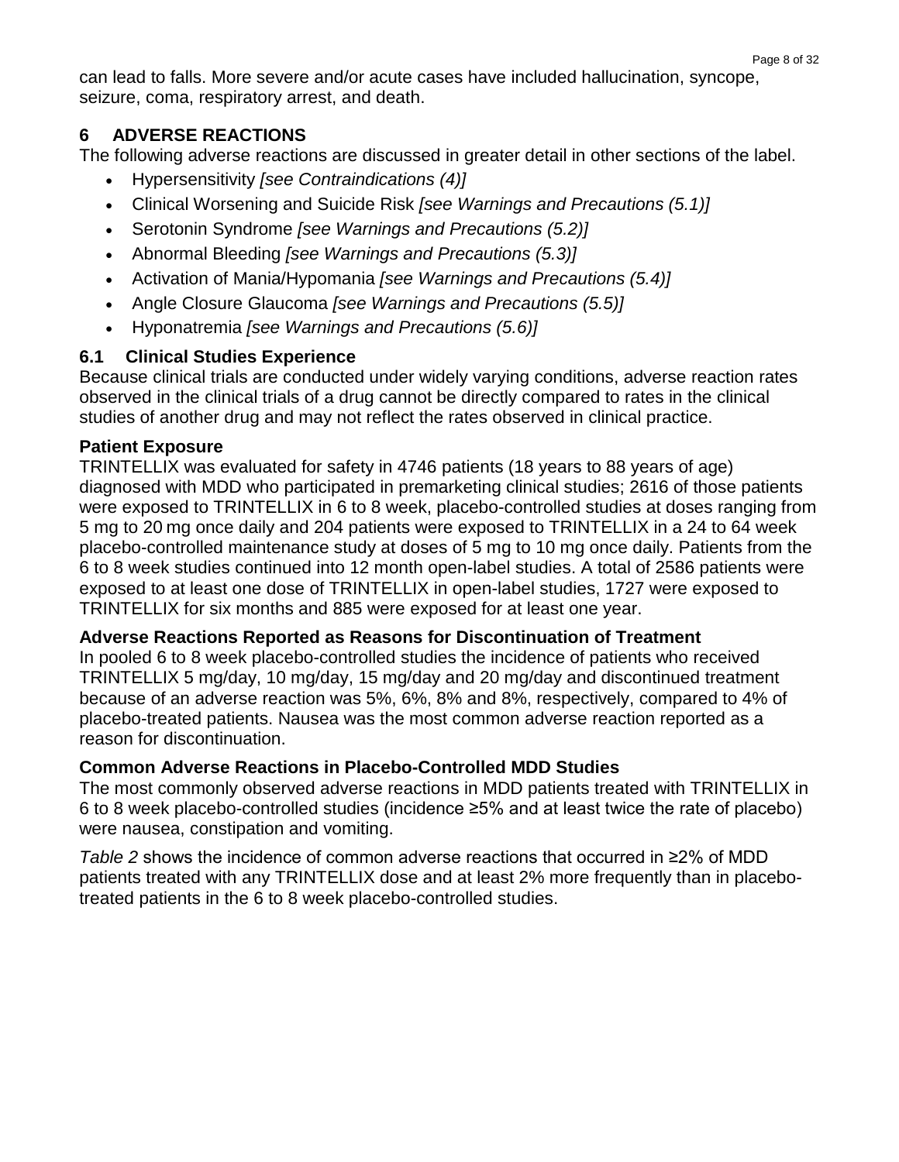can lead to falls. More severe and/or acute cases have included hallucination, syncope, seizure, coma, respiratory arrest, and death.

### **6 ADVERSE REACTIONS**

The following adverse reactions are discussed in greater detail in other sections of the label.

- Hypersensitivity *[see [Contraindications \(4\)\]](http://dailymed.nlm.nih.gov/dailymed/lookup.cfm?setid=0f43610c-f290-46ea-d186-4f998ed99fce#S4)*
- Clinical Worsening and Suicide Risk *[see [Warnings and Precautions \(5.1\)\]](http://dailymed.nlm.nih.gov/dailymed/lookup.cfm?setid=0f43610c-f290-46ea-d186-4f998ed99fce#S5.1)*
- Serotonin Syndrome *[see [Warnings and Precautions \(5.2\)\]](http://dailymed.nlm.nih.gov/dailymed/lookup.cfm?setid=0f43610c-f290-46ea-d186-4f998ed99fce#S5.2)*
- Abnormal Bleeding *[see [Warnings and Precautions \(5.3\)\]](http://dailymed.nlm.nih.gov/dailymed/lookup.cfm?setid=0f43610c-f290-46ea-d186-4f998ed99fce#S5.4)*
- Activation of Mania/Hypomania *[see [Warnings and Precautions \(5.4\)\]](http://dailymed.nlm.nih.gov/dailymed/lookup.cfm?setid=0f43610c-f290-46ea-d186-4f998ed99fce#S5.6)*
- Angle Closure Glaucoma *[see Warnings and Precautions (5.5)]*
- Hyponatremia *[see [Warnings and Precautions \(5.6\)\]](http://dailymed.nlm.nih.gov/dailymed/lookup.cfm?setid=0f43610c-f290-46ea-d186-4f998ed99fce#S5.9)*

# **6.1 Clinical Studies Experience**

Because clinical trials are conducted under widely varying conditions, adverse reaction rates observed in the clinical trials of a drug cannot be directly compared to rates in the clinical studies of another drug and may not reflect the rates observed in clinical practice.

### **Patient Exposure**

TRINTELLIX was evaluated for safety in 4746 patients (18 years to 88 years of age) diagnosed with MDD who participated in premarketing clinical studies; 2616 of those patients were exposed to TRINTELLIX in 6 to 8 week, placebo-controlled studies at doses ranging from 5 mg to 20 mg once daily and 204 patients were exposed to TRINTELLIX in a 24 to 64 week placebo-controlled maintenance study at doses of 5 mg to 10 mg once daily. Patients from the 6 to 8 week studies continued into 12 month open-label studies. A total of 2586 patients were exposed to at least one dose of TRINTELLIX in open-label studies, 1727 were exposed to TRINTELLIX for six months and 885 were exposed for at least one year.

### **Adverse Reactions Reported as Reasons for Discontinuation of Treatment**

In pooled 6 to 8 week placebo-controlled studies the incidence of patients who received TRINTELLIX 5 mg/day, 10 mg/day, 15 mg/day and 20 mg/day and discontinued treatment because of an adverse reaction was 5%, 6%, 8% and 8%, respectively, compared to 4% of placebo-treated patients. Nausea was the most common adverse reaction reported as a reason for discontinuation.

### **Common Adverse Reactions in Placebo-Controlled MDD Studies**

The most commonly observed adverse reactions in MDD patients treated with TRINTELLIX in 6 to 8 week placebo-controlled studies (incidence ≥5% and at least twice the rate of placebo) were nausea, constipation and vomiting.

*Table 2* shows the incidence of common adverse reactions that occurred in ≥2% of MDD patients treated with any TRINTELLIX dose and at least 2% more frequently than in placebotreated patients in the 6 to 8 week placebo-controlled studies.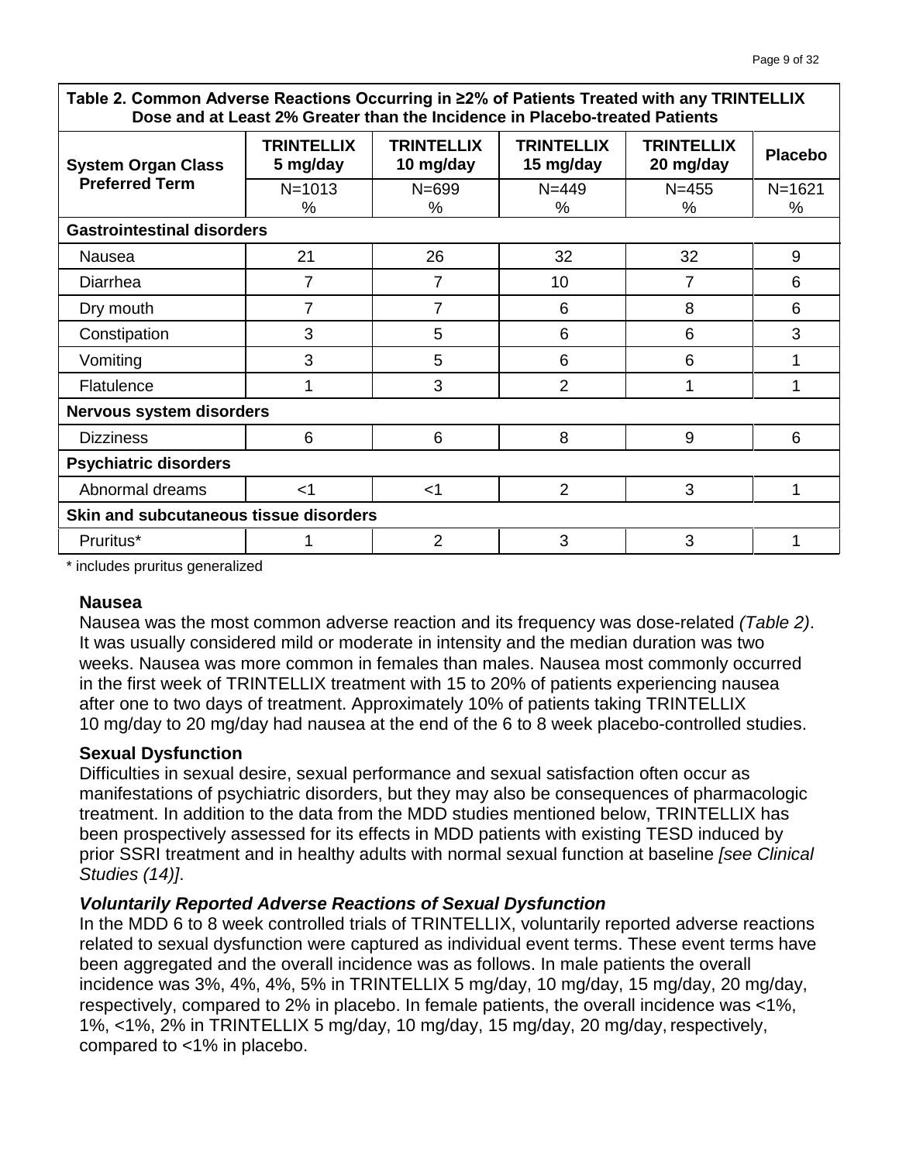**Table 2. Common Adverse Reactions Occurring in ≥2% of Patients Treated with any TRINTELLIX Dose and at Least 2% Greater than the Incidence in Placebo-treated Patients**

| <b>TRINTELLIX</b><br>5 mg/day          | <b>TRINTELLIX</b><br>10 mg/day | <b>TRINTELLIX</b><br>15 mg/day | <b>TRINTELLIX</b><br>20 mg/day | <b>Placebo</b> |  |  |  |
|----------------------------------------|--------------------------------|--------------------------------|--------------------------------|----------------|--|--|--|
| $N = 1013$                             | $N = 699$                      | $N = 449$                      | $N = 455$                      | $N = 1621$     |  |  |  |
| $\%$                                   | %                              | ℅                              | $\%$                           | %              |  |  |  |
| <b>Gastrointestinal disorders</b>      |                                |                                |                                |                |  |  |  |
| 21                                     | 26                             | 32                             | 32                             | 9              |  |  |  |
| 7                                      | 7                              | 10                             | 7                              | 6              |  |  |  |
| 7                                      | 7                              | 6                              | 8                              | 6              |  |  |  |
| 3                                      | 5                              | 6                              | 6                              | 3              |  |  |  |
| 3                                      | 5                              | 6                              | 6                              | 1              |  |  |  |
|                                        | 3                              | $\overline{2}$                 | 1                              | 1              |  |  |  |
| Nervous system disorders               |                                |                                |                                |                |  |  |  |
| 6                                      | 6                              | 8                              | 9                              | 6              |  |  |  |
| <b>Psychiatric disorders</b>           |                                |                                |                                |                |  |  |  |
| $<$ 1                                  | $<$ 1                          | $\overline{2}$                 | 3                              | 1              |  |  |  |
| Skin and subcutaneous tissue disorders |                                |                                |                                |                |  |  |  |
|                                        | $\overline{2}$                 | 3                              | 3                              | 1              |  |  |  |
|                                        |                                |                                |                                |                |  |  |  |

\* includes pruritus generalized

#### **Nausea**

Nausea was the most common adverse reaction and its frequency was dose-related *(Table 2)*. It was usually considered mild or moderate in intensity and the median duration was two weeks. Nausea was more common in females than males. Nausea most commonly occurred in the first week of TRINTELLIX treatment with 15 to 20% of patients experiencing nausea after one to two days of treatment. Approximately 10% of patients taking TRINTELLIX 10 mg/day to 20 mg/day had nausea at the end of the 6 to 8 week placebo-controlled studies.

#### **Sexual Dysfunction**

Difficulties in sexual desire, sexual performance and sexual satisfaction often occur as manifestations of psychiatric disorders, but they may also be consequences of pharmacologic treatment. In addition to the data from the MDD studies mentioned below, TRINTELLIX has been prospectively assessed for its effects in MDD patients with existing TESD induced by prior SSRI treatment and in healthy adults with normal sexual function at baseline *[see Clinical Studies (14)]*.

#### *Voluntarily Reported Adverse Reactions of Sexual Dysfunction*

In the MDD 6 to 8 week controlled trials of TRINTELLIX, voluntarily reported adverse reactions related to sexual dysfunction were captured as individual event terms. These event terms have been aggregated and the overall incidence was as follows. In male patients the overall incidence was 3%, 4%, 4%, 5% in TRINTELLIX 5 mg/day, 10 mg/day, 15 mg/day, 20 mg/day, respectively, compared to 2% in placebo. In female patients, the overall incidence was <1%, 1%, <1%, 2% in TRINTELLIX 5 mg/day, 10 mg/day, 15 mg/day, 20 mg/day, respectively, compared to <1% in placebo.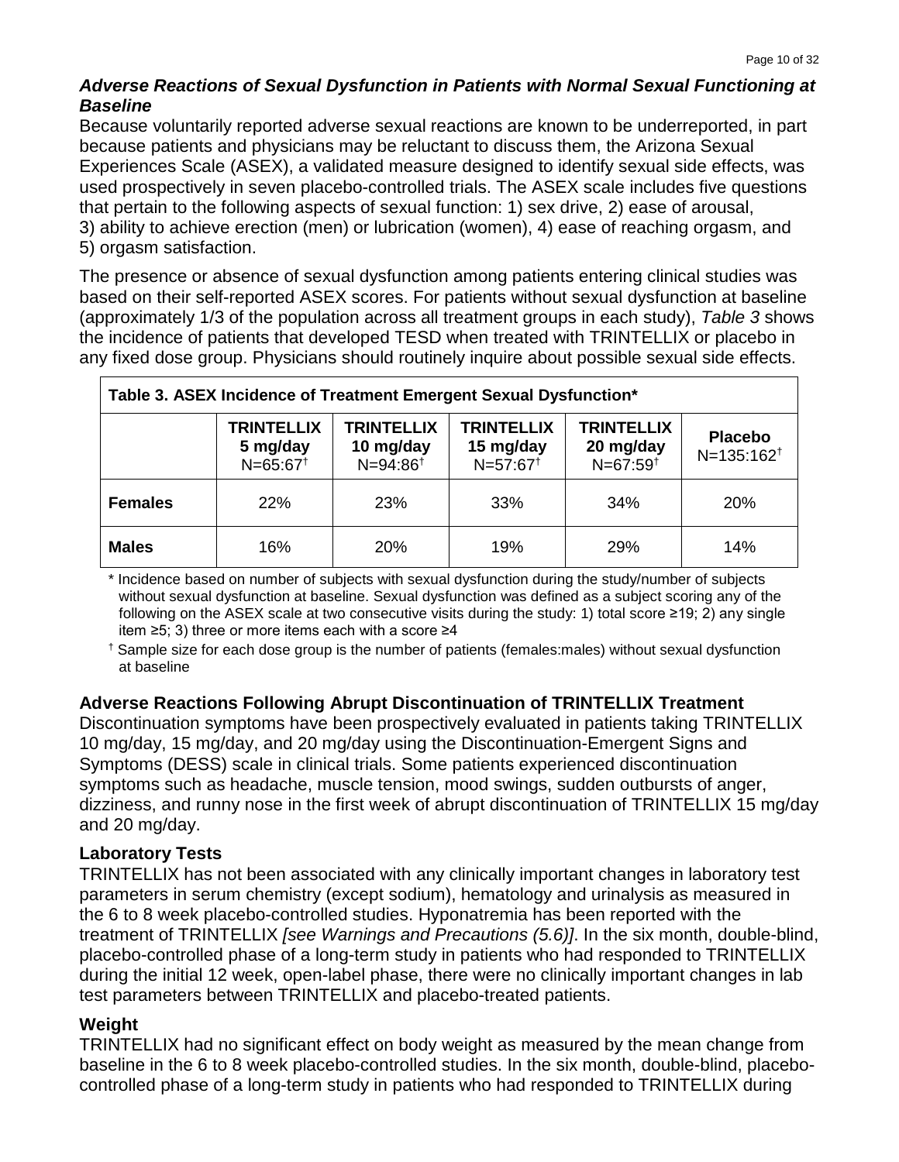### *Adverse Reactions of Sexual Dysfunction in Patients with Normal Sexual Functioning at Baseline*

Because voluntarily reported adverse sexual reactions are known to be underreported, in part because patients and physicians may be reluctant to discuss them, the Arizona Sexual Experiences Scale (ASEX), a validated measure designed to identify sexual side effects, was used prospectively in seven placebo-controlled trials. The ASEX scale includes five questions that pertain to the following aspects of sexual function: 1) sex drive, 2) ease of arousal, 3) ability to achieve erection (men) or lubrication (women), 4) ease of reaching orgasm, and 5) orgasm satisfaction.

The presence or absence of sexual dysfunction among patients entering clinical studies was based on their self-reported ASEX scores. For patients without sexual dysfunction at baseline (approximately 1/3 of the population across all treatment groups in each study), *Table 3* shows the incidence of patients that developed TESD when treated with TRINTELLIX or placebo in any fixed dose group. Physicians should routinely inquire about possible sexual side effects.

| Table 3. ASEX Incidence of Treatment Emergent Sexual Dysfunction* |                                                         |                                                         |                                               |                                                 |                                   |  |  |
|-------------------------------------------------------------------|---------------------------------------------------------|---------------------------------------------------------|-----------------------------------------------|-------------------------------------------------|-----------------------------------|--|--|
|                                                                   | <b>TRINTELLIX</b><br>5 mg/day<br>$N=65:67$ <sup>t</sup> | <b>TRINTELLIX</b><br>10 mg/day<br>$N = 94:86^{\dagger}$ | <b>TRINTELLIX</b><br>15 mg/day<br>$N=57:67^+$ | <b>TRINTELLIX</b><br>20 mg/day<br>$N=67:59^{+}$ | <b>Placebo</b><br>$N=135:162^{+}$ |  |  |
| <b>Females</b>                                                    | 22%                                                     | 23%                                                     | 33%                                           | 34%                                             | <b>20%</b>                        |  |  |
| <b>Males</b>                                                      | 16%                                                     | <b>20%</b>                                              | 19%                                           | 29%                                             | 14%                               |  |  |

\* Incidence based on number of subjects with sexual dysfunction during the study/number of subjects without sexual dysfunction at baseline. Sexual dysfunction was defined as a subject scoring any of the following on the ASEX scale at two consecutive visits during the study: 1) total score ≥19; 2) any single item ≥5; 3) three or more items each with a score ≥4

† Sample size for each dose group is the number of patients (females:males) without sexual dysfunction at baseline

### **Adverse Reactions Following Abrupt Discontinuation of TRINTELLIX Treatment**

Discontinuation symptoms have been prospectively evaluated in patients taking TRINTELLIX 10 mg/day, 15 mg/day, and 20 mg/day using the Discontinuation-Emergent Signs and Symptoms (DESS) scale in clinical trials. Some patients experienced discontinuation symptoms such as headache, muscle tension, mood swings, sudden outbursts of anger, dizziness, and runny nose in the first week of abrupt discontinuation of TRINTELLIX 15 mg/day and 20 mg/day.

#### **Laboratory Tests**

TRINTELLIX has not been associated with any clinically important changes in laboratory test parameters in serum chemistry (except sodium), hematology and urinalysis as measured in the 6 to 8 week placebo-controlled studies. Hyponatremia has been reported with the treatment of TRINTELLIX *[see Warnings and Precautions (5.6)]*. In the six month, double-blind, placebo-controlled phase of a long-term study in patients who had responded to TRINTELLIX during the initial 12 week, open-label phase, there were no clinically important changes in lab test parameters between TRINTELLIX and placebo-treated patients.

#### **Weight**

TRINTELLIX had no significant effect on body weight as measured by the mean change from baseline in the 6 to 8 week placebo-controlled studies. In the six month, double-blind, placebocontrolled phase of a long-term study in patients who had responded to TRINTELLIX during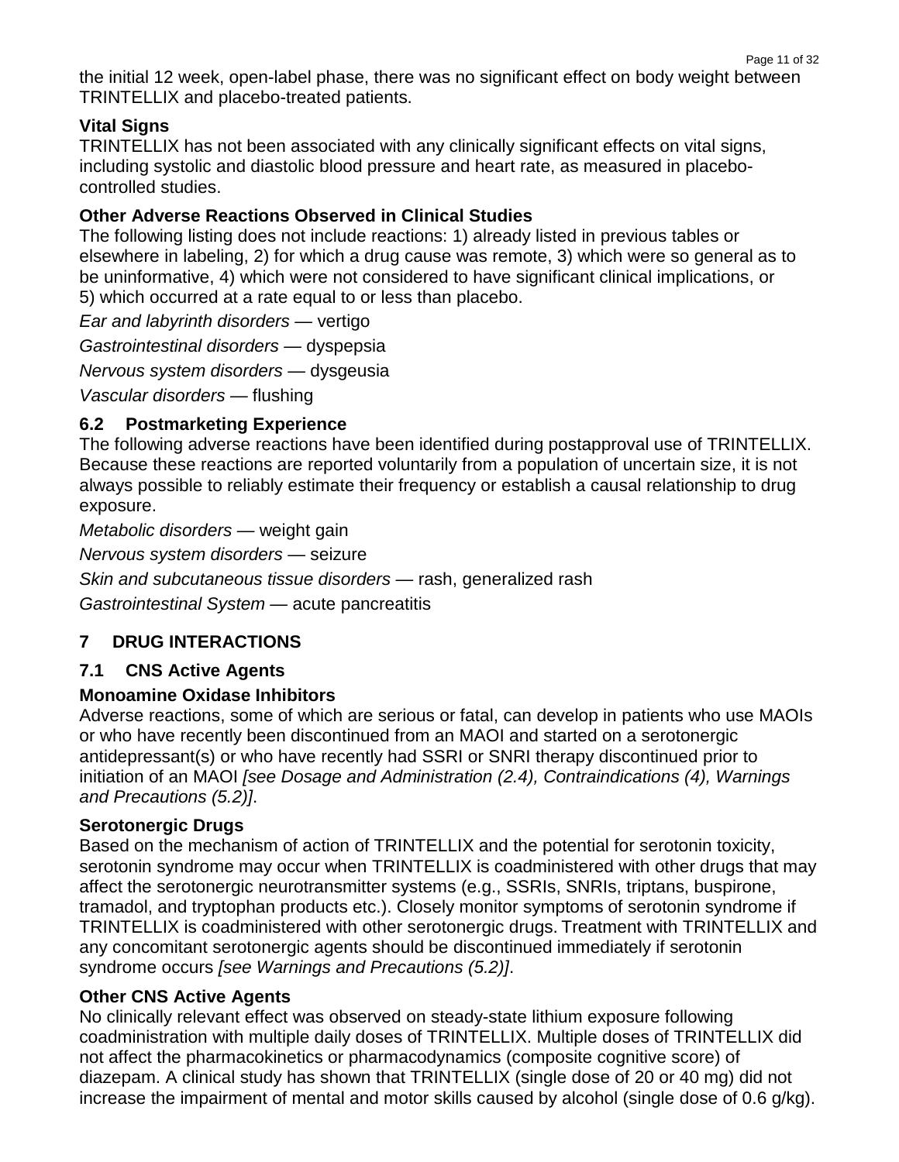the initial 12 week, open-label phase, there was no significant effect on body weight between TRINTELLIX and placebo-treated patients.

### **Vital Signs**

TRINTELLIX has not been associated with any clinically significant effects on vital signs, including systolic and diastolic blood pressure and heart rate, as measured in placebocontrolled studies.

#### **Other Adverse Reactions Observed in Clinical Studies**

The following listing does not include reactions: 1) already listed in previous tables or elsewhere in labeling, 2) for which a drug cause was remote, 3) which were so general as to be uninformative, 4) which were not considered to have significant clinical implications, or 5) which occurred at a rate equal to or less than placebo.

*Ear and labyrinth disorders —* vertigo *Gastrointestinal disorders —* dyspepsia *Nervous system disorders —* dysgeusia *Vascular disorders —* flushing

### **6.2 Postmarketing Experience**

The following adverse reactions have been identified during postapproval use of TRINTELLIX. Because these reactions are reported voluntarily from a population of uncertain size, it is not always possible to reliably estimate their frequency or establish a causal relationship to drug exposure.

*Metabolic disorders —* weight gain

*Nervous system disorders —* seizure

*Skin and subcutaneous tissue disorders —* rash, generalized rash

*Gastrointestinal System —* acute pancreatitis

### **7 DRUG INTERACTIONS**

### **7.1 CNS Active Agents**

### **Monoamine Oxidase Inhibitors**

Adverse reactions, some of which are serious or fatal, can develop in patients who use MAOIs or who have recently been discontinued from an MAOI and started on a serotonergic antidepressant(s) or who have recently had SSRI or SNRI therapy discontinued prior to initiation of an MAOI *[see Dosage and Administration (2.4), Contraindications (4), Warnings and Precautions (5.2)]*.

#### **Serotonergic Drugs**

Based on the mechanism of action of TRINTELLIX and the potential for serotonin toxicity, serotonin syndrome may occur when TRINTELLIX is coadministered with other drugs that may affect the serotonergic neurotransmitter systems (e.g., SSRIs, SNRIs, triptans, buspirone, tramadol, and tryptophan products etc.). Closely monitor symptoms of serotonin syndrome if TRINTELLIX is coadministered with other serotonergic drugs. Treatment with TRINTELLIX and any concomitant serotonergic agents should be discontinued immediately if serotonin syndrome occurs *[see Warnings and Precautions (5.2)]*.

### **Other CNS Active Agents**

No clinically relevant effect was observed on steady-state lithium exposure following coadministration with multiple daily doses of TRINTELLIX. Multiple doses of TRINTELLIX did not affect the pharmacokinetics or pharmacodynamics (composite cognitive score) of diazepam. A clinical study has shown that TRINTELLIX (single dose of 20 or 40 mg) did not increase the impairment of mental and motor skills caused by alcohol (single dose of 0.6 g/kg).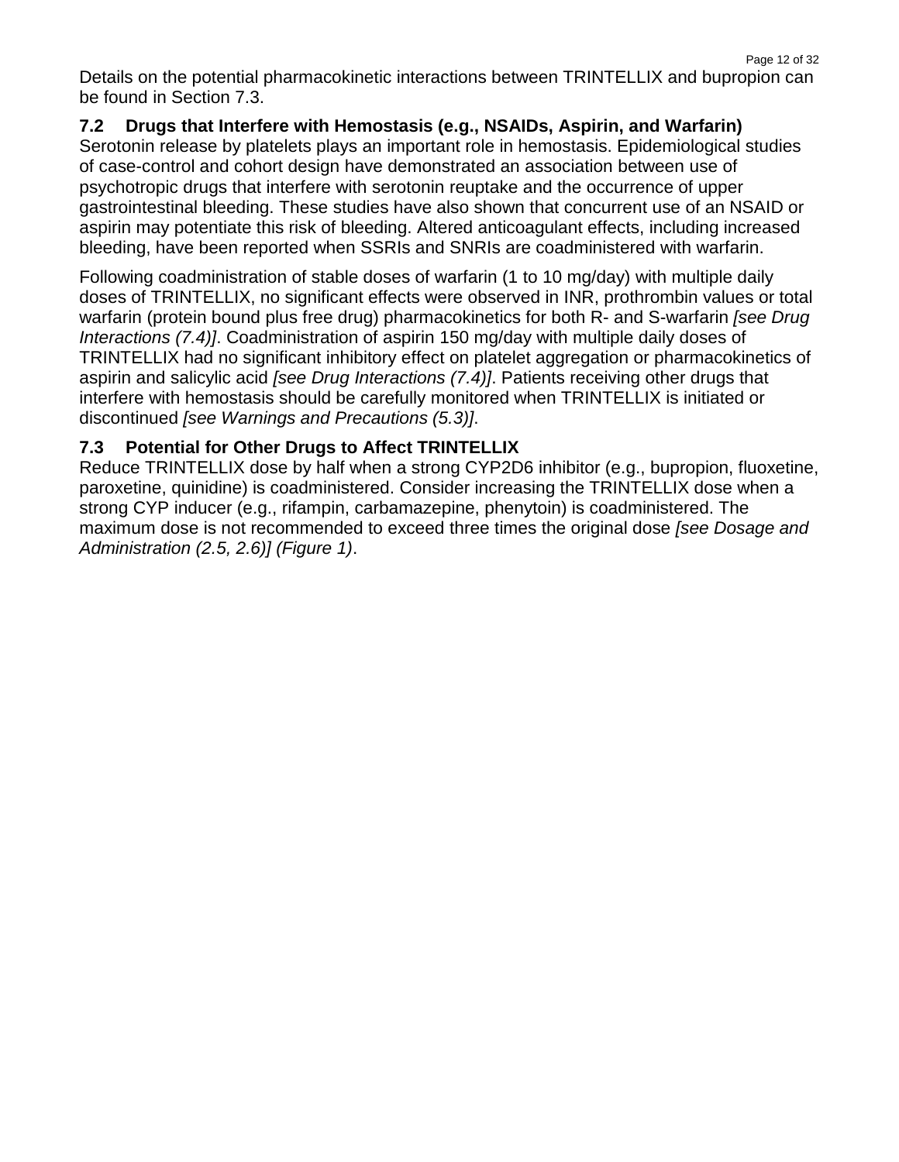Details on the potential pharmacokinetic interactions between TRINTELLIX and bupropion can be found in Section 7.3.

### **7.2 Drugs that Interfere with Hemostasis (e.g., NSAIDs, Aspirin, and Warfarin)**

Serotonin release by platelets plays an important role in hemostasis. Epidemiological studies of case-control and cohort design have demonstrated an association between use of psychotropic drugs that interfere with serotonin reuptake and the occurrence of upper gastrointestinal bleeding. These studies have also shown that concurrent use of an NSAID or aspirin may potentiate this risk of bleeding. Altered anticoagulant effects, including increased bleeding, have been reported when SSRIs and SNRIs are coadministered with warfarin.

Following coadministration of stable doses of warfarin (1 to 10 mg/day) with multiple daily doses of TRINTELLIX, no significant effects were observed in INR, prothrombin values or total warfarin (protein bound plus free drug) pharmacokinetics for both R- and S-warfarin *[see Drug Interactions (7.4)]*. Coadministration of aspirin 150 mg/day with multiple daily doses of TRINTELLIX had no significant inhibitory effect on platelet aggregation or pharmacokinetics of aspirin and salicylic acid *[see Drug Interactions (7.4)]*. Patients receiving other drugs that interfere with hemostasis should be carefully monitored when TRINTELLIX is initiated or discontinued *[see Warnings and Precautions (5.3)]*.

### **7.3 Potential for Other Drugs to Affect TRINTELLIX**

Reduce TRINTELLIX dose by half when a strong CYP2D6 inhibitor (e.g., bupropion, fluoxetine, paroxetine, quinidine) is coadministered. Consider increasing the TRINTELLIX dose when a strong CYP inducer (e.g., rifampin, carbamazepine, phenytoin) is coadministered. The maximum dose is not recommended to exceed three times the original dose *[see Dosage and Administration (2.5, 2.6)] (Figure 1)*.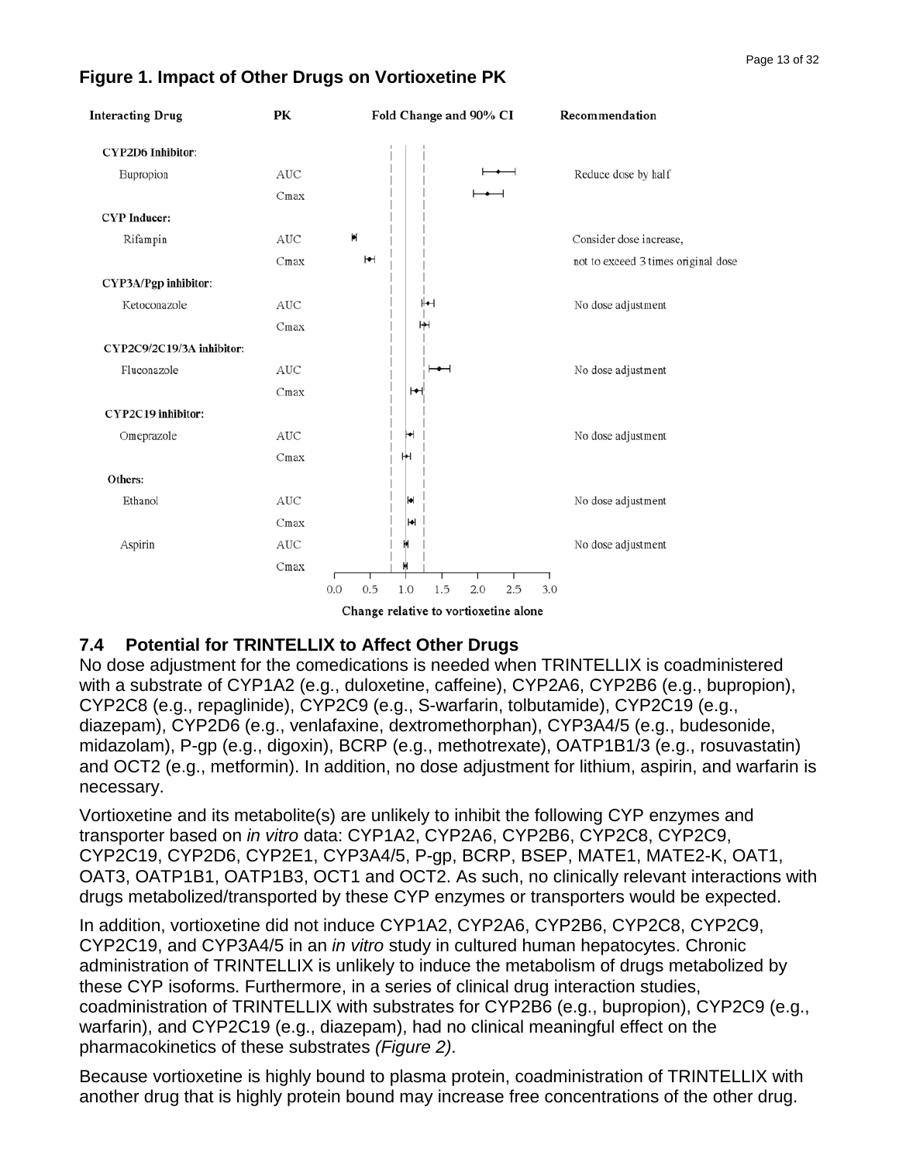

# **Figure 1. Impact of Other Drugs on Vortioxetine PK**

### **7.4 Potential for TRINTELLIX to Affect Other Drugs**

No dose adjustment for the comedications is needed when TRINTELLIX is coadministered with a substrate of CYP1A2 (e.g., duloxetine, caffeine), CYP2A6, CYP2B6 (e.g., bupropion), CYP2C8 (e.g., repaglinide), CYP2C9 (e.g., S-warfarin, tolbutamide), CYP2C19 (e.g., diazepam), CYP2D6 (e.g., venlafaxine, dextromethorphan), CYP3A4/5 (e.g., budesonide, midazolam), P-gp (e.g., digoxin), BCRP (e.g., methotrexate), OATP1B1/3 (e.g., rosuvastatin) and OCT2 (e.g., metformin). In addition, no dose adjustment for lithium, aspirin, and warfarin is necessary.

Vortioxetine and its metabolite(s) are unlikely to inhibit the following CYP enzymes and transporter based on *in vitro* data: CYP1A2, CYP2A6, CYP2B6, CYP2C8, CYP2C9, CYP2C19, CYP2D6, CYP2E1, CYP3A4/5, P-gp, BCRP, BSEP, MATE1, MATE2-K, OAT1, OAT3, OATP1B1, OATP1B3, OCT1 and OCT2. As such, no clinically relevant interactions with drugs metabolized/transported by these CYP enzymes or transporters would be expected.

In addition, vortioxetine did not induce CYP1A2, CYP2A6, CYP2B6, CYP2C8, CYP2C9, CYP2C19, and CYP3A4/5 in an *in vitro* study in cultured human hepatocytes. Chronic administration of TRINTELLIX is unlikely to induce the metabolism of drugs metabolized by these CYP isoforms. Furthermore, in a series of clinical drug interaction studies, coadministration of TRINTELLIX with substrates for CYP2B6 (e.g., bupropion), CYP2C9 (e.g., warfarin), and CYP2C19 (e.g., diazepam), had no clinical meaningful effect on the pharmacokinetics of these substrates *(Figure 2)*.

Because vortioxetine is highly bound to plasma protein, coadministration of TRINTELLIX with another drug that is highly protein bound may increase free concentrations of the other drug.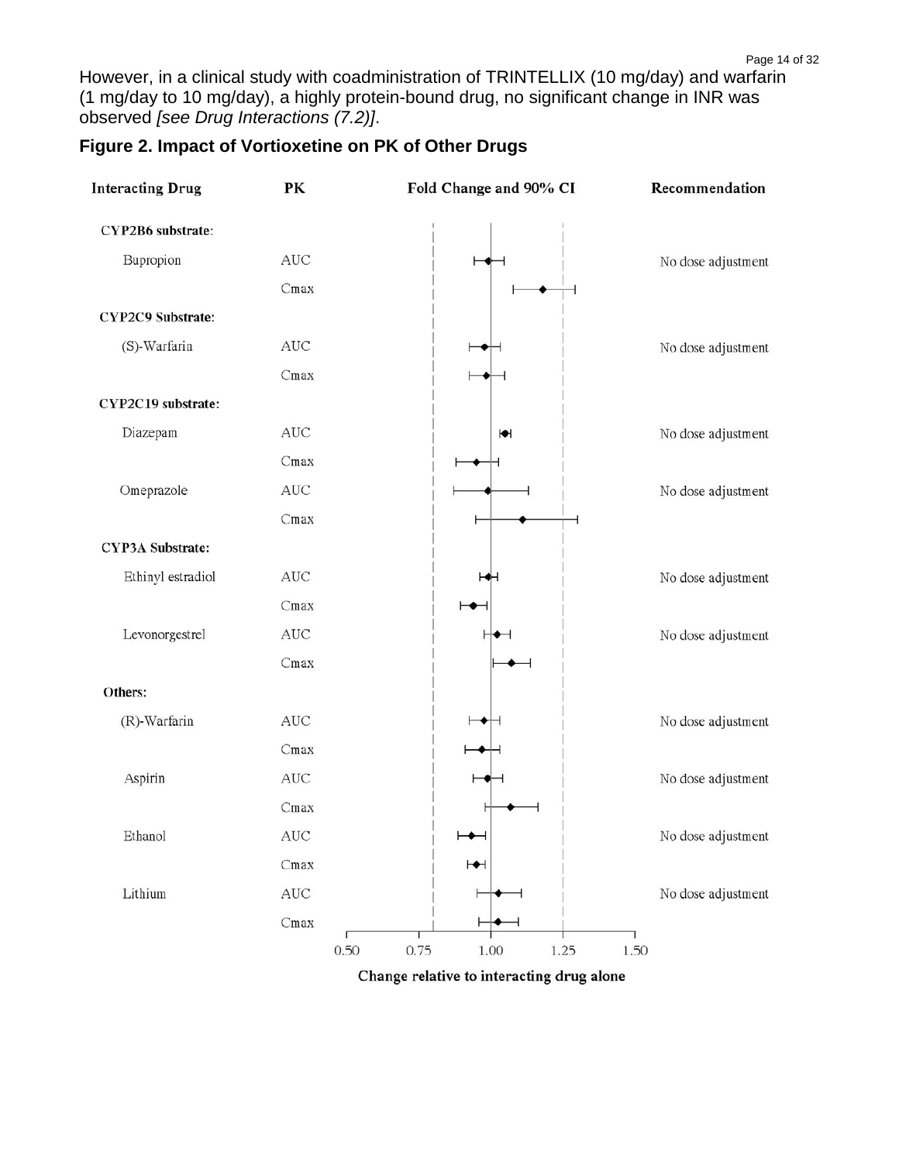However, in a clinical study with coadministration of TRINTELLIX (10 mg/day) and warfarin (1 mg/day to 10 mg/day), a highly protein-bound drug, no significant change in INR was observed *[see Drug Interactions (7.2)]*.

| <b>Interacting Drug</b> | PК                   | Fold Change and 90% CI       | Recommendation     |
|-------------------------|----------------------|------------------------------|--------------------|
| CYP2B6 substrate:       |                      |                              |                    |
| Bupropion               | $\operatorname{AUC}$ |                              | No dose adjustment |
|                         | Cmax                 |                              |                    |
| CYP2C9 Substrate:       |                      |                              |                    |
| (S)-Warfarin            | AUC                  |                              | No dose adjustment |
|                         | Cmax                 |                              |                    |
| CYP2C19 substrate:      |                      |                              |                    |
| Diazepam                | $\operatorname{AUC}$ | $\blacktriangleright$        | No dose adjustment |
|                         | Cmax                 |                              |                    |
| Omeprazole              | AUC                  |                              | No dose adjustment |
|                         | Cmax                 |                              |                    |
| CYP3A Substrate:        |                      |                              |                    |
| Ethinyl estradiol       | $\operatorname{AUC}$ |                              | No dose adjustment |
|                         | Cmax                 |                              |                    |
| Levonorgestrel          | AUC                  |                              | No dose adjustment |
|                         | Cmax                 |                              |                    |
| Others:                 |                      |                              |                    |
| (R)-Warfarin            | $\operatorname{AUC}$ |                              | No dose adjustment |
|                         | Cmax                 |                              |                    |
| Aspirin                 | $\operatorname{AUC}$ |                              | No dose adjustment |
|                         | Cmax                 |                              |                    |
| Ethanol                 | $\operatorname{AUC}$ | $\overline{\phantom{0}}$     | No dose adjustment |
|                         | Cmax                 | $\mapsto$                    |                    |
| Lithium                 | $\operatorname{AUC}$ |                              | No dose adjustment |
|                         | Cmax                 |                              |                    |
|                         |                      | 0.50<br>0.75<br>1.25<br>1.00 | 1.50               |

### **Figure 2. Impact of Vortioxetine on PK of Other Drugs**

Change relative to interacting drug alone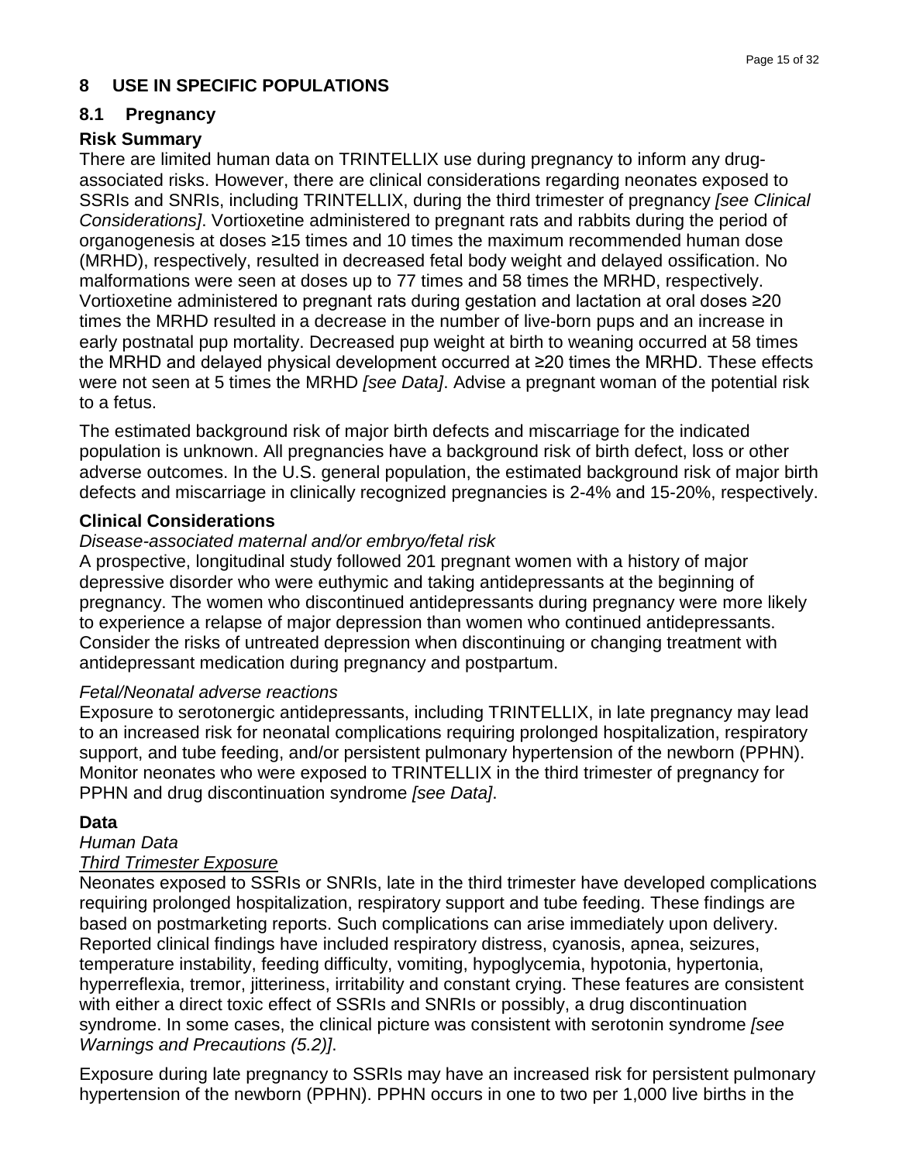### **8 USE IN SPECIFIC POPULATIONS**

# **8.1 Pregnancy**

## **Risk Summary**

There are limited human data on TRINTELLIX use during pregnancy to inform any drugassociated risks. However, there are clinical considerations regarding neonates exposed to SSRIs and SNRIs, including TRINTELLIX, during the third trimester of pregnancy *[see Clinical Considerations]*. Vortioxetine administered to pregnant rats and rabbits during the period of organogenesis at doses ≥15 times and 10 times the maximum recommended human dose (MRHD), respectively, resulted in decreased fetal body weight and delayed ossification. No malformations were seen at doses up to 77 times and 58 times the MRHD, respectively. Vortioxetine administered to pregnant rats during gestation and lactation at oral doses ≥20 times the MRHD resulted in a decrease in the number of live-born pups and an increase in early postnatal pup mortality. Decreased pup weight at birth to weaning occurred at 58 times the MRHD and delayed physical development occurred at ≥20 times the MRHD. These effects were not seen at 5 times the MRHD *[see Data]*. Advise a pregnant woman of the potential risk to a fetus.

The estimated background risk of major birth defects and miscarriage for the indicated population is unknown. All pregnancies have a background risk of birth defect, loss or other adverse outcomes. In the U.S. general population, the estimated background risk of major birth defects and miscarriage in clinically recognized pregnancies is 2-4% and 15-20%, respectively.

#### **Clinical Considerations**

#### *Disease-associated maternal and/or embryo/fetal risk*

A prospective, longitudinal study followed 201 pregnant women with a history of major depressive disorder who were euthymic and taking antidepressants at the beginning of pregnancy. The women who discontinued antidepressants during pregnancy were more likely to experience a relapse of major depression than women who continued antidepressants. Consider the risks of untreated depression when discontinuing or changing treatment with antidepressant medication during pregnancy and postpartum.

#### *Fetal/Neonatal adverse reactions*

Exposure to serotonergic antidepressants, including TRINTELLIX, in late pregnancy may lead to an increased risk for neonatal complications requiring prolonged hospitalization, respiratory support, and tube feeding, and/or persistent pulmonary hypertension of the newborn (PPHN). Monitor neonates who were exposed to TRINTELLIX in the third trimester of pregnancy for PPHN and drug discontinuation syndrome *[see Data]*.

### **Data**

# *Human Data*

#### *Third Trimester Exposure*

Neonates exposed to SSRIs or SNRIs, late in the third trimester have developed complications requiring prolonged hospitalization, respiratory support and tube feeding. These findings are based on postmarketing reports. Such complications can arise immediately upon delivery. Reported clinical findings have included respiratory distress, cyanosis, apnea, seizures, temperature instability, feeding difficulty, vomiting, hypoglycemia, hypotonia, hypertonia, hyperreflexia, tremor, jitteriness, irritability and constant crying. These features are consistent with either a direct toxic effect of SSRIs and SNRIs or possibly, a drug discontinuation syndrome. In some cases, the clinical picture was consistent with serotonin syndrome *[see Warnings and Precautions (5.2)]*.

Exposure during late pregnancy to SSRIs may have an increased risk for persistent pulmonary hypertension of the newborn (PPHN). PPHN occurs in one to two per 1,000 live births in the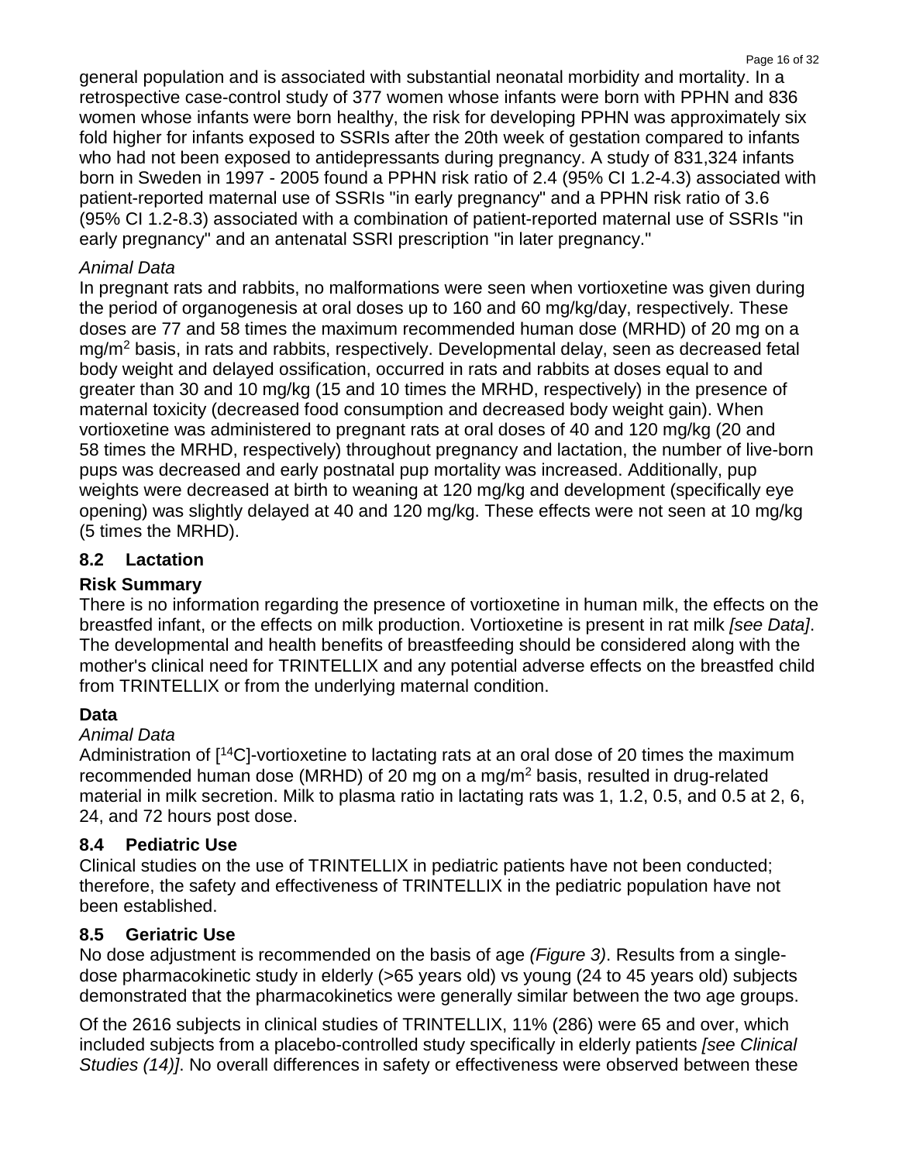general population and is associated with substantial neonatal morbidity and mortality. In a retrospective case-control study of 377 women whose infants were born with PPHN and 836 women whose infants were born healthy, the risk for developing PPHN was approximately six fold higher for infants exposed to SSRIs after the 20th week of gestation compared to infants who had not been exposed to antidepressants during pregnancy. A study of 831,324 infants born in Sweden in 1997 - 2005 found a PPHN risk ratio of 2.4 (95% CI 1.2-4.3) associated with patient-reported maternal use of SSRIs "in early pregnancy" and a PPHN risk ratio of 3.6 (95% CI 1.2-8.3) associated with a combination of patient-reported maternal use of SSRIs "in early pregnancy" and an antenatal SSRI prescription "in later pregnancy."

### *Animal Data*

In pregnant rats and rabbits, no malformations were seen when vortioxetine was given during the period of organogenesis at oral doses up to 160 and 60 mg/kg/day, respectively. These doses are 77 and 58 times the maximum recommended human dose (MRHD) of 20 mg on a mg/m2 basis, in rats and rabbits, respectively. Developmental delay, seen as decreased fetal body weight and delayed ossification, occurred in rats and rabbits at doses equal to and greater than 30 and 10 mg/kg (15 and 10 times the MRHD, respectively) in the presence of maternal toxicity (decreased food consumption and decreased body weight gain). When vortioxetine was administered to pregnant rats at oral doses of 40 and 120 mg/kg (20 and 58 times the MRHD, respectively) throughout pregnancy and lactation, the number of live-born pups was decreased and early postnatal pup mortality was increased. Additionally, pup weights were decreased at birth to weaning at 120 mg/kg and development (specifically eye opening) was slightly delayed at 40 and 120 mg/kg. These effects were not seen at 10 mg/kg (5 times the MRHD).

# **8.2 Lactation**

### **Risk Summary**

There is no information regarding the presence of vortioxetine in human milk, the effects on the breastfed infant, or the effects on milk production. Vortioxetine is present in rat milk *[see Data]*. The developmental and health benefits of breastfeeding should be considered along with the mother's clinical need for TRINTELLIX and any potential adverse effects on the breastfed child from TRINTELLIX or from the underlying maternal condition.

### **Data**

### *Animal Data*

Administration of  $14C$ -vortioxetine to lactating rats at an oral dose of 20 times the maximum recommended human dose (MRHD) of 20 mg on a mg/m2 basis, resulted in drug-related material in milk secretion. Milk to plasma ratio in lactating rats was 1, 1.2, 0.5, and 0.5 at 2, 6, 24, and 72 hours post dose.

### **8.4 Pediatric Use**

Clinical studies on the use of TRINTELLIX in pediatric patients have not been conducted; therefore, the safety and effectiveness of TRINTELLIX in the pediatric population have not been established.

### **8.5 Geriatric Use**

No dose adjustment is recommended on the basis of age *(Figure 3)*. Results from a singledose pharmacokinetic study in elderly (>65 years old) vs young (24 to 45 years old) subjects demonstrated that the pharmacokinetics were generally similar between the two age groups.

Of the 2616 subjects in clinical studies of TRINTELLIX, 11% (286) were 65 and over, which included subjects from a placebo-controlled study specifically in elderly patients *[see Clinical Studies (14)]*. No overall differences in safety or effectiveness were observed between these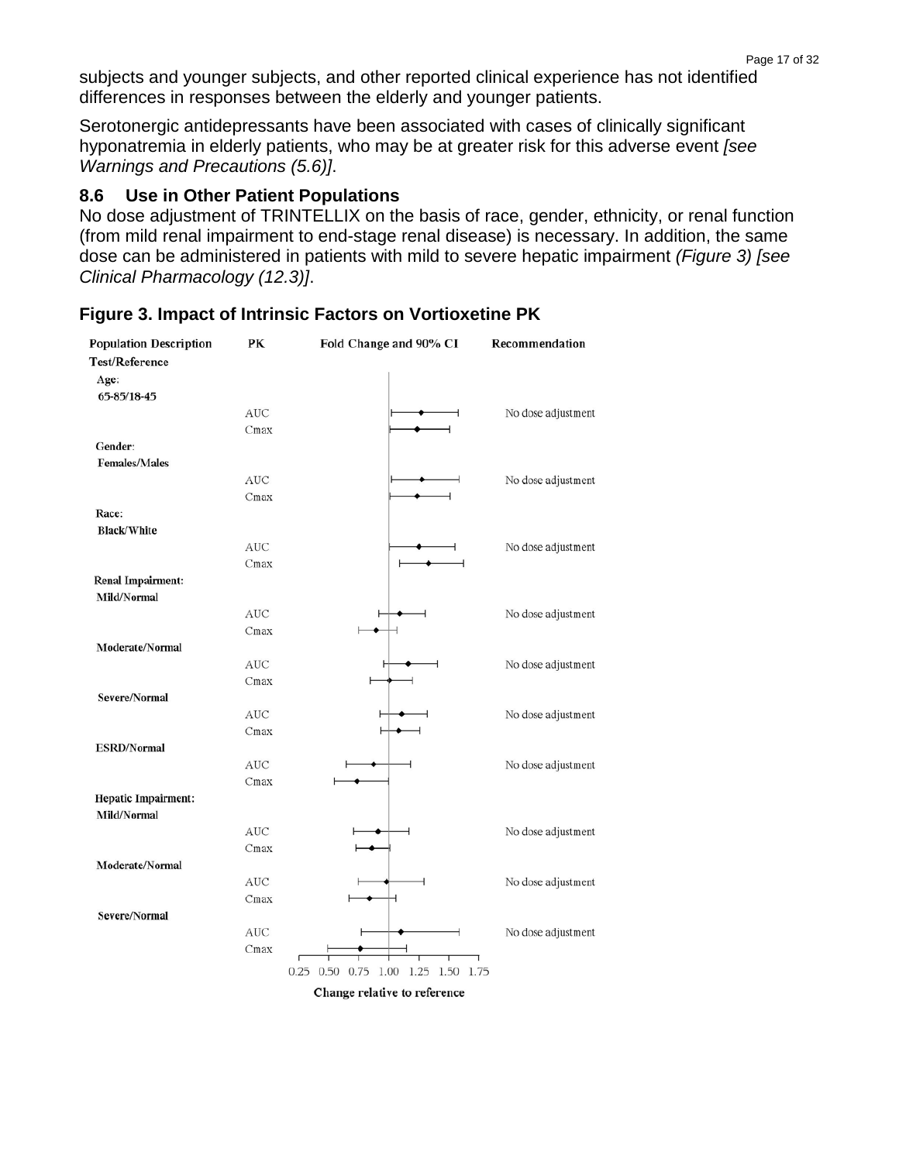subjects and younger subjects, and other reported clinical experience has not identified differences in responses between the elderly and younger patients.

Serotonergic antidepressants have been associated with cases of clinically significant hyponatremia in elderly patients, who may be at greater risk for this adverse event *[see Warnings and Precautions (5.6)]*.

#### **8.6 Use in Other Patient Populations**

No dose adjustment of TRINTELLIX on the basis of race, gender, ethnicity, or renal function (from mild renal impairment to end-stage renal disease) is necessary. In addition, the same dose can be administered in patients with mild to severe hepatic impairment *(Figure 3) [see Clinical Pharmacology (12.3)]*.

| <b>Population Description</b> | PК         | Fold Change and 90% CI             | Recommendation     |
|-------------------------------|------------|------------------------------------|--------------------|
| Test/Reference                |            |                                    |                    |
| Age:                          |            |                                    |                    |
| 65-85/18-45                   |            |                                    |                    |
|                               | <b>AUC</b> |                                    | No dose adjustment |
|                               | Cmax       |                                    |                    |
| Gender:                       |            |                                    |                    |
| <b>Females/Males</b>          |            |                                    |                    |
|                               | <b>AUC</b> | ⊣                                  | No dose adjustment |
|                               | Cmax       |                                    |                    |
| Race:                         |            |                                    |                    |
| <b>Black/White</b>            |            |                                    |                    |
|                               | <b>AUC</b> |                                    | No dose adjustment |
|                               | Cmax       |                                    |                    |
| Renal Impairment:             |            |                                    |                    |
| Mild/Normal                   |            |                                    |                    |
|                               | <b>AUC</b> |                                    | No dose adjustment |
|                               | Cmax       |                                    |                    |
| Moderate/Normal               |            |                                    |                    |
|                               | <b>AUC</b> |                                    | No dose adjustment |
|                               | Cmax       |                                    |                    |
| Severe/Normal                 |            |                                    |                    |
|                               | <b>AUC</b> |                                    | No dose adjustment |
|                               | Cmax       | ⊣                                  |                    |
| <b>ESRD/Normal</b>            |            |                                    |                    |
|                               | <b>AUC</b> |                                    | No dose adjustment |
|                               | Cmax       |                                    |                    |
| Hepatic Impairment:           |            |                                    |                    |
| Mild/Normal                   |            |                                    |                    |
|                               | <b>AUC</b> |                                    | No dose adjustment |
|                               | Cmax       |                                    |                    |
| Moderate/Normal               |            |                                    |                    |
|                               | <b>AUC</b> |                                    | No dose adjustment |
|                               | Cmax       | ⊣                                  |                    |
| Severe/Normal                 |            |                                    |                    |
|                               | <b>AUC</b> |                                    | No dose adjustment |
|                               | Cmax       |                                    |                    |
|                               |            | 0.25 0.50 0.75 1.00 1.25 1.50 1.75 |                    |
|                               |            | Change relative to reference       |                    |

#### **Figure 3. Impact of Intrinsic Factors on Vortioxetine PK**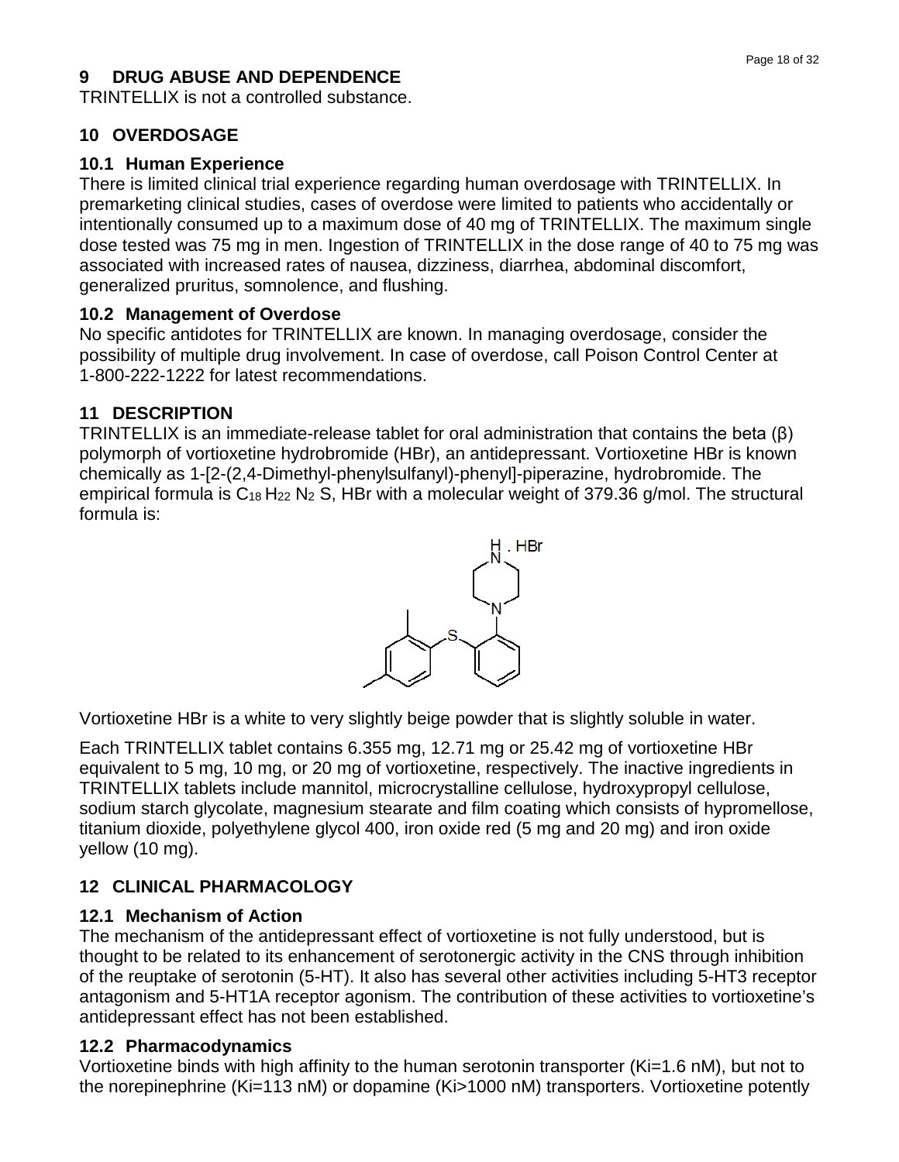### **9 DRUG ABUSE AND DEPENDENCE**

TRINTELLIX is not a controlled substance.

## **10 OVERDOSAGE**

### **10.1 Human Experience**

There is limited clinical trial experience regarding human overdosage with TRINTELLIX. In premarketing clinical studies, cases of overdose were limited to patients who accidentally or intentionally consumed up to a maximum dose of 40 mg of TRINTELLIX. The maximum single dose tested was 75 mg in men. Ingestion of TRINTELLIX in the dose range of 40 to 75 mg was associated with increased rates of nausea, dizziness, diarrhea, abdominal discomfort, generalized pruritus, somnolence, and flushing.

### **10.2 Management of Overdose**

No specific antidotes for TRINTELLIX are known. In managing overdosage, consider the possibility of multiple drug involvement. In case of overdose, call Poison Control Center at 1-800-222-1222 for latest recommendations.

### **11 DESCRIPTION**

TRINTELLIX is an immediate-release tablet for oral administration that contains the beta (β) polymorph of vortioxetine hydrobromide (HBr), an antidepressant. Vortioxetine HBr is known chemically as 1-[2-(2,4-Dimethyl-phenylsulfanyl)-phenyl]-piperazine, hydrobromide. The empirical formula is  $C_{18}$  H<sub>22</sub> N<sub>2</sub> S, HBr with a molecular weight of 379.36 g/mol. The structural formula is:



Vortioxetine HBr is a white to very slightly beige powder that is slightly soluble in water.

Each TRINTELLIX tablet contains 6.355 mg, 12.71 mg or 25.42 mg of vortioxetine HBr equivalent to 5 mg, 10 mg, or 20 mg of vortioxetine, respectively. The inactive ingredients in TRINTELLIX tablets include mannitol, microcrystalline cellulose, hydroxypropyl cellulose, sodium starch glycolate, magnesium stearate and film coating which consists of hypromellose, titanium dioxide, polyethylene glycol 400, iron oxide red (5 mg and 20 mg) and iron oxide yellow (10 mg).

# **12 CLINICAL PHARMACOLOGY**

### **12.1 Mechanism of Action**

The mechanism of the antidepressant effect of vortioxetine is not fully understood, but is thought to be related to its enhancement of serotonergic activity in the CNS through inhibition of the reuptake of serotonin (5-HT). It also has several other activities including 5-HT3 receptor antagonism and 5-HT1A receptor agonism. The contribution of these activities to vortioxetine's antidepressant effect has not been established.

# **12.2 Pharmacodynamics**

Vortioxetine binds with high affinity to the human serotonin transporter (Ki=1.6 nM), but not to the norepinephrine (Ki=113 nM) or dopamine (Ki>1000 nM) transporters. Vortioxetine potently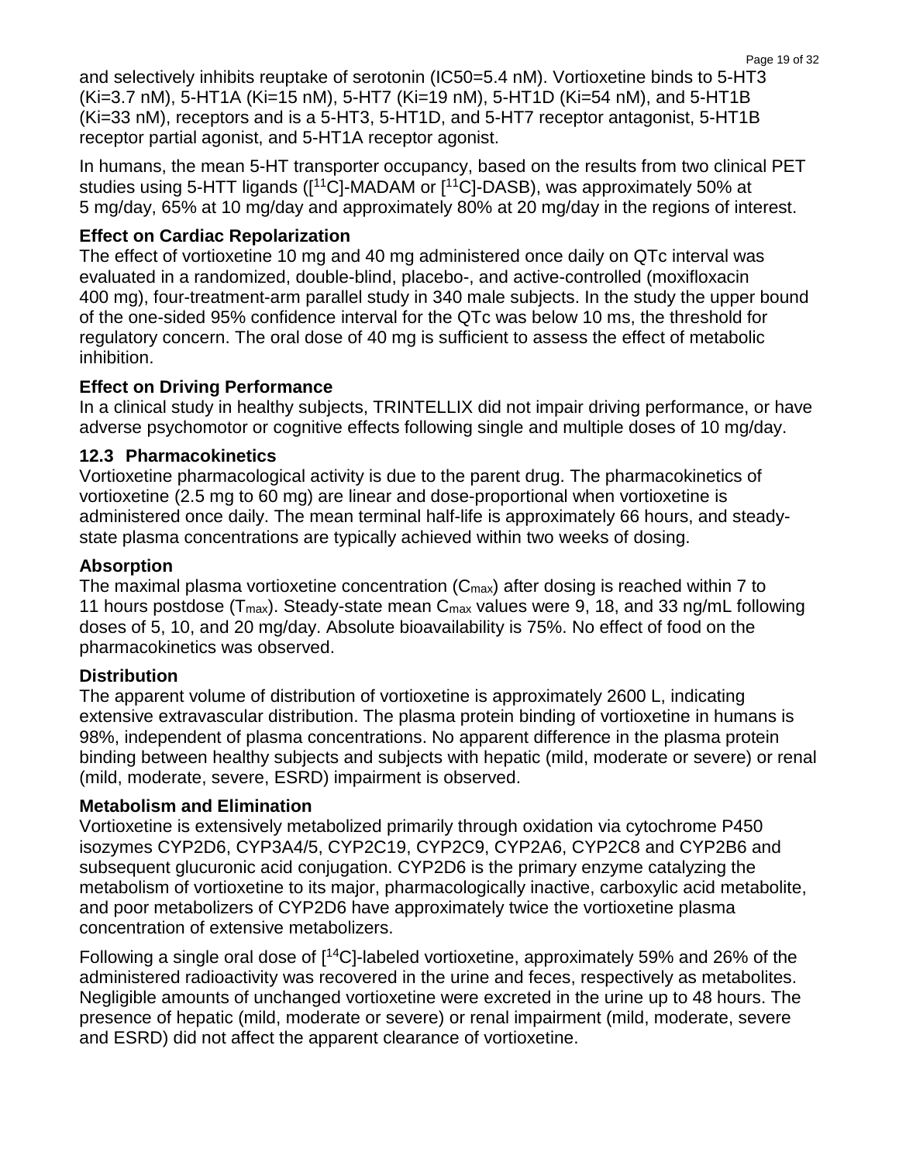and selectively inhibits reuptake of serotonin (IC50=5.4 nM). Vortioxetine binds to 5-HT3 (Ki=3.7 nM), 5-HT1A (Ki=15 nM), 5-HT7 (Ki=19 nM), 5-HT1D (Ki=54 nM), and 5-HT1B (Ki=33 nM), receptors and is a 5-HT3, 5-HT1D, and 5-HT7 receptor antagonist, 5-HT1B receptor partial agonist, and 5-HT1A receptor agonist.

In humans, the mean 5-HT transporter occupancy, based on the results from two clinical PET studies using 5-HTT ligands ([<sup>11</sup>C]-MADAM or [<sup>11</sup>C]-DASB), was approximately 50% at 5 mg/day, 65% at 10 mg/day and approximately 80% at 20 mg/day in the regions of interest.

#### **Effect on Cardiac Repolarization**

The effect of vortioxetine 10 mg and 40 mg administered once daily on QTc interval was evaluated in a randomized, double-blind, placebo-, and active-controlled (moxifloxacin 400 mg), four-treatment-arm parallel study in 340 male subjects. In the study the upper bound of the one-sided 95% confidence interval for the QTc was below 10 ms, the threshold for regulatory concern. The oral dose of 40 mg is sufficient to assess the effect of metabolic inhibition.

#### **Effect on Driving Performance**

In a clinical study in healthy subjects, TRINTELLIX did not impair driving performance, or have adverse psychomotor or cognitive effects following single and multiple doses of 10 mg/day.

#### **12.3 Pharmacokinetics**

Vortioxetine pharmacological activity is due to the parent drug. The pharmacokinetics of vortioxetine (2.5 mg to 60 mg) are linear and dose-proportional when vortioxetine is administered once daily. The mean terminal half-life is approximately 66 hours, and steadystate plasma concentrations are typically achieved within two weeks of dosing.

#### **Absorption**

The maximal plasma vortioxetine concentration  $(C_{\text{max}})$  after dosing is reached within 7 to 11 hours postdose ( $T_{\text{max}}$ ). Steady-state mean  $C_{\text{max}}$  values were 9, 18, and 33 ng/mL following doses of 5, 10, and 20 mg/day. Absolute bioavailability is 75%. No effect of food on the pharmacokinetics was observed.

### **Distribution**

The apparent volume of distribution of vortioxetine is approximately 2600 L, indicating extensive extravascular distribution. The plasma protein binding of vortioxetine in humans is 98%, independent of plasma concentrations. No apparent difference in the plasma protein binding between healthy subjects and subjects with hepatic (mild, moderate or severe) or renal (mild, moderate, severe, ESRD) impairment is observed.

#### **Metabolism and Elimination**

Vortioxetine is extensively metabolized primarily through oxidation via cytochrome P450 isozymes CYP2D6, CYP3A4/5, CYP2C19, CYP2C9, CYP2A6, CYP2C8 and CYP2B6 and subsequent glucuronic acid conjugation. CYP2D6 is the primary enzyme catalyzing the metabolism of vortioxetine to its major, pharmacologically inactive, carboxylic acid metabolite, and poor metabolizers of CYP2D6 have approximately twice the vortioxetine plasma concentration of extensive metabolizers.

Following a single oral dose of  $[14C]$ -labeled vortioxetine, approximately 59% and 26% of the administered radioactivity was recovered in the urine and feces, respectively as metabolites. Negligible amounts of unchanged vortioxetine were excreted in the urine up to 48 hours. The presence of hepatic (mild, moderate or severe) or renal impairment (mild, moderate, severe and ESRD) did not affect the apparent clearance of vortioxetine.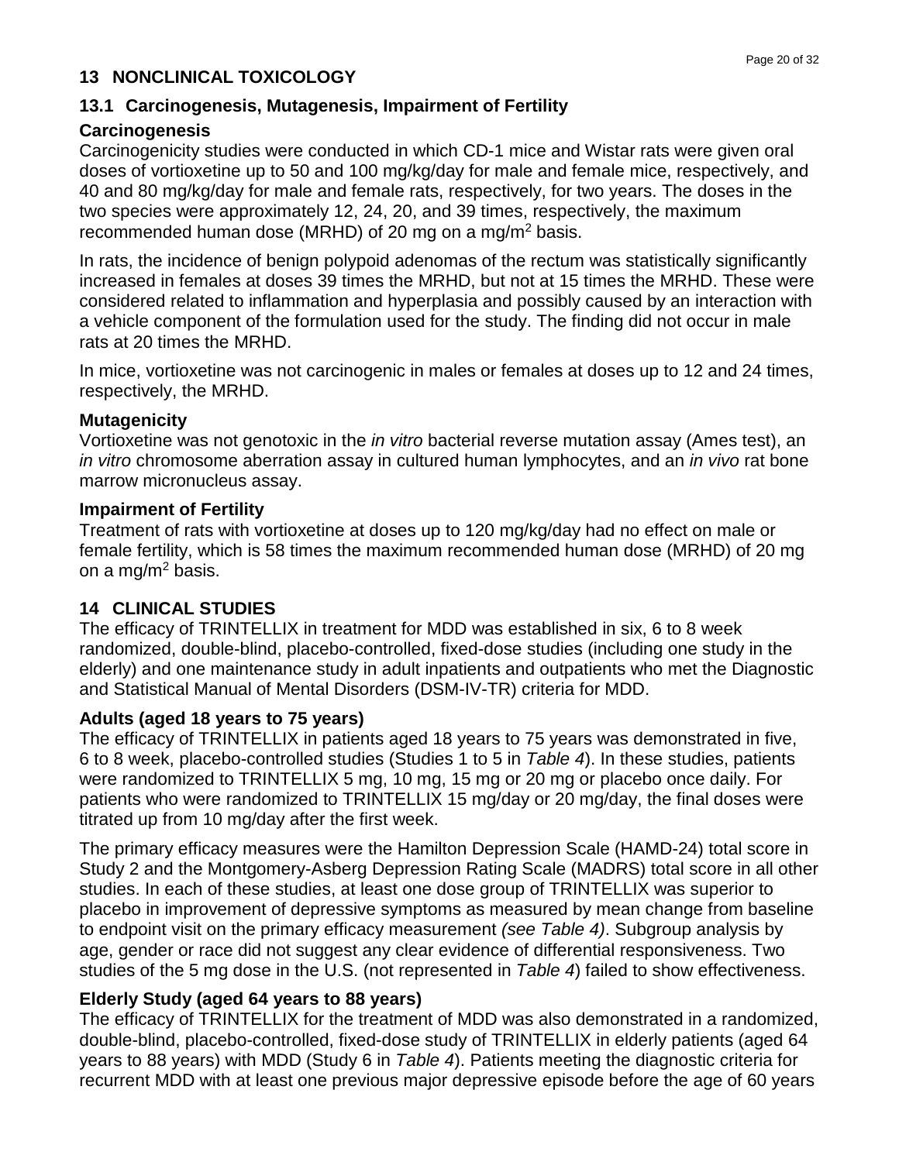#### **13 NONCLINICAL TOXICOLOGY**

### **13.1 Carcinogenesis, Mutagenesis, Impairment of Fertility**

#### **Carcinogenesis**

Carcinogenicity studies were conducted in which CD-1 mice and Wistar rats were given oral doses of vortioxetine up to 50 and 100 mg/kg/day for male and female mice, respectively, and 40 and 80 mg/kg/day for male and female rats, respectively, for two years. The doses in the two species were approximately 12, 24, 20, and 39 times, respectively, the maximum recommended human dose (MRHD) of 20 mg on a mg/m2 basis.

In rats, the incidence of benign polypoid adenomas of the rectum was statistically significantly increased in females at doses 39 times the MRHD, but not at 15 times the MRHD. These were considered related to inflammation and hyperplasia and possibly caused by an interaction with a vehicle component of the formulation used for the study. The finding did not occur in male rats at 20 times the MRHD.

In mice, vortioxetine was not carcinogenic in males or females at doses up to 12 and 24 times, respectively, the MRHD.

#### **Mutagenicity**

Vortioxetine was not genotoxic in the *in vitro* bacterial reverse mutation assay (Ames test), an *in vitro* chromosome aberration assay in cultured human lymphocytes, and an *in vivo* rat bone marrow micronucleus assay.

#### **Impairment of Fertility**

Treatment of rats with vortioxetine at doses up to 120 mg/kg/day had no effect on male or female fertility, which is 58 times the maximum recommended human dose (MRHD) of 20 mg on a mg/m<sup>2</sup> basis.

### **14 CLINICAL STUDIES**

The efficacy of TRINTELLIX in treatment for MDD was established in six, 6 to 8 week randomized, double-blind, placebo-controlled, fixed-dose studies (including one study in the elderly) and one maintenance study in adult inpatients and outpatients who met the Diagnostic and Statistical Manual of Mental Disorders (DSM-IV-TR) criteria for MDD.

### **Adults (aged 18 years to 75 years)**

The efficacy of TRINTELLIX in patients aged 18 years to 75 years was demonstrated in five, 6 to 8 week, placebo-controlled studies (Studies 1 to 5 in *Table 4*). In these studies, patients were randomized to TRINTELLIX 5 mg, 10 mg, 15 mg or 20 mg or placebo once daily. For patients who were randomized to TRINTELLIX 15 mg/day or 20 mg/day, the final doses were titrated up from 10 mg/day after the first week.

The primary efficacy measures were the Hamilton Depression Scale (HAMD-24) total score in Study 2 and the Montgomery-Asberg Depression Rating Scale (MADRS) total score in all other studies. In each of these studies, at least one dose group of TRINTELLIX was superior to placebo in improvement of depressive symptoms as measured by mean change from baseline to endpoint visit on the primary efficacy measurement *(see Table 4)*. Subgroup analysis by age, gender or race did not suggest any clear evidence of differential responsiveness. Two studies of the 5 mg dose in the U.S. (not represented in *Table 4*) failed to show effectiveness.

### **Elderly Study (aged 64 years to 88 years)**

The efficacy of TRINTELLIX for the treatment of MDD was also demonstrated in a randomized, double-blind, placebo-controlled, fixed-dose study of TRINTELLIX in elderly patients (aged 64 years to 88 years) with MDD (Study 6 in *Table 4*). Patients meeting the diagnostic criteria for recurrent MDD with at least one previous major depressive episode before the age of 60 years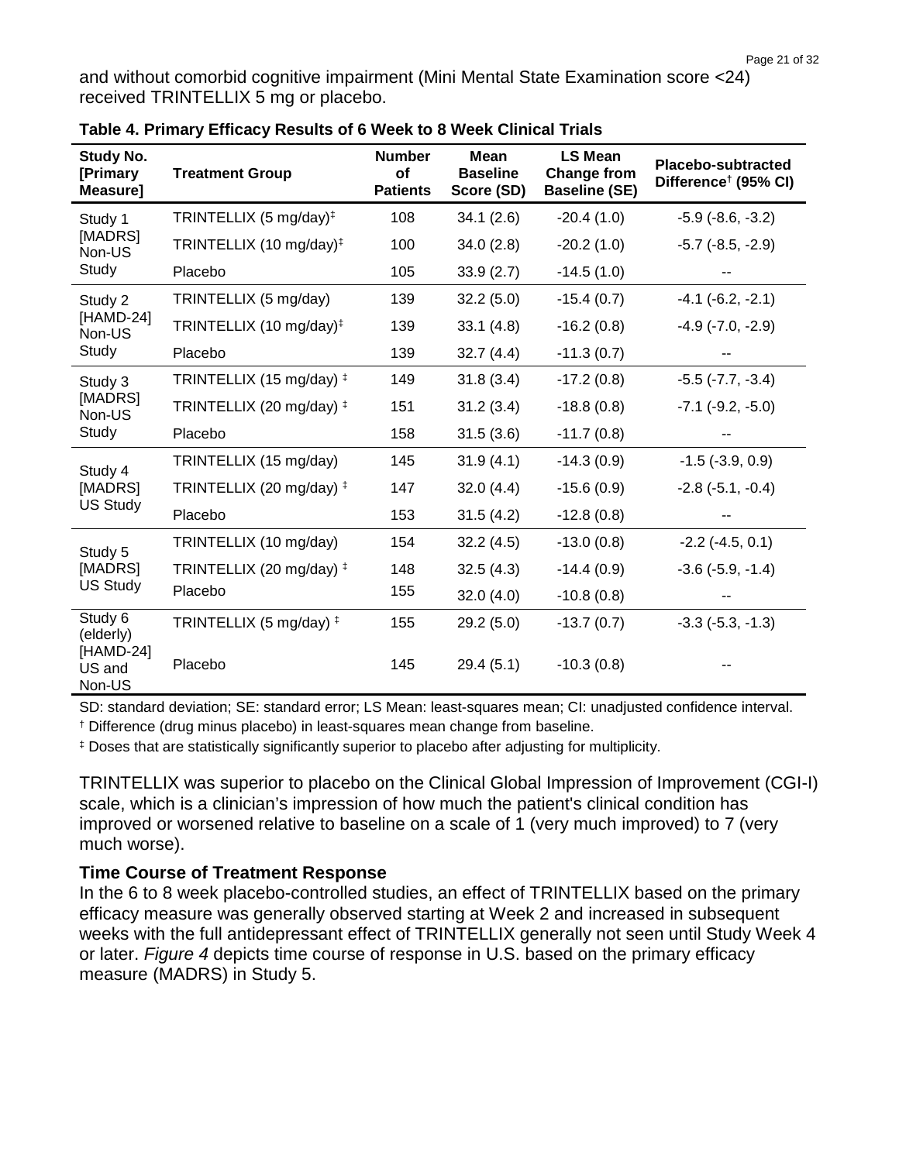and without comorbid cognitive impairment (Mini Mental State Examination score <24) received TRINTELLIX 5 mg or placebo.

| Study No.<br>[Primary<br>Measure] | <b>Treatment Group</b>              | <b>Number</b><br>of<br><b>Patients</b> | <b>Mean</b><br><b>Baseline</b><br>Score (SD) | <b>LS Mean</b><br><b>Change from</b><br><b>Baseline (SE)</b> | <b>Placebo-subtracted</b><br>Difference <sup>†</sup> (95% CI) |
|-----------------------------------|-------------------------------------|----------------------------------------|----------------------------------------------|--------------------------------------------------------------|---------------------------------------------------------------|
| Study 1                           | TRINTELLIX (5 mg/day) <sup>‡</sup>  | 108                                    | 34.1(2.6)                                    | $-20.4(1.0)$                                                 | $-5.9$ $(-8.6, -3.2)$                                         |
| [MADRS]<br>Non-US                 | TRINTELLIX (10 mg/day) <sup>‡</sup> | 100                                    | 34.0(2.8)                                    | $-20.2(1.0)$                                                 | $-5.7$ $(-8.5, -2.9)$                                         |
| Study                             | Placebo                             | 105                                    | 33.9(2.7)                                    | $-14.5(1.0)$                                                 |                                                               |
| Study 2                           | TRINTELLIX (5 mg/day)               | 139                                    | 32.2(5.0)                                    | $-15.4(0.7)$                                                 | $-4.1$ $(-6.2, -2.1)$                                         |
| [HAMD-24]<br>Non-US               | TRINTELLIX (10 mg/day) <sup>‡</sup> | 139                                    | 33.1(4.8)                                    | $-16.2(0.8)$                                                 | $-4.9$ $(-7.0, -2.9)$                                         |
| Study                             | Placebo                             | 139                                    | 32.7(4.4)                                    | $-11.3(0.7)$                                                 |                                                               |
| Study 3                           | TRINTELLIX (15 mg/day) <sup>‡</sup> | 149                                    | 31.8(3.4)                                    | $-17.2(0.8)$                                                 | $-5.5$ ( $-7.7, -3.4$ )                                       |
| [MADRS]<br>Non-US                 | TRINTELLIX (20 mg/day) ‡            | 151                                    | 31.2(3.4)                                    | $-18.8(0.8)$                                                 | $-7.1$ $(-9.2, -5.0)$                                         |
| Study                             | Placebo                             | 158                                    | 31.5(3.6)                                    | $-11.7(0.8)$                                                 |                                                               |
| Study 4                           | TRINTELLIX (15 mg/day)              | 145                                    | 31.9(4.1)                                    | $-14.3(0.9)$                                                 | $-1.5$ ( $-3.9, 0.9$ )                                        |
| [MADRS]                           | TRINTELLIX (20 mg/day) ‡            | 147                                    | 32.0(4.4)                                    | $-15.6(0.9)$                                                 | $-2.8$ $(-5.1, -0.4)$                                         |
| <b>US Study</b>                   | Placebo                             | 153                                    | 31.5(4.2)                                    | $-12.8(0.8)$                                                 |                                                               |
| Study 5                           | TRINTELLIX (10 mg/day)              | 154                                    | 32.2(4.5)                                    | $-13.0(0.8)$                                                 | $-2.2$ $(-4.5, 0.1)$                                          |
| [MADRS]                           | TRINTELLIX (20 mg/day) ‡            | 148                                    | 32.5(4.3)                                    | $-14.4(0.9)$                                                 | $-3.6$ $(-5.9, -1.4)$                                         |
| <b>US Study</b>                   | Placebo                             | 155                                    | 32.0(4.0)                                    | $-10.8(0.8)$                                                 |                                                               |
| Study 6<br>(elderly)              | TRINTELLIX (5 mg/day) <sup>+</sup>  | 155                                    | 29.2(5.0)                                    | $-13.7(0.7)$                                                 | $-3.3$ $(-5.3, -1.3)$                                         |
| [HAMD-24]<br>US and<br>Non-US     | Placebo                             | 145                                    | 29.4(5.1)                                    | $-10.3(0.8)$                                                 |                                                               |

|  |  | Table 4. Primary Efficacy Results of 6 Week to 8 Week Clinical Trials |
|--|--|-----------------------------------------------------------------------|
|--|--|-----------------------------------------------------------------------|

SD: standard deviation; SE: standard error; LS Mean: least-squares mean; CI: unadjusted confidence interval.

† Difference (drug minus placebo) in least-squares mean change from baseline.

‡ Doses that are statistically significantly superior to placebo after adjusting for multiplicity.

TRINTELLIX was superior to placebo on the Clinical Global Impression of Improvement (CGI-I) scale, which is a [clinician'](https://en.wikipedia.org/wiki/Clinician)s impression of how much the patient's clinical condition has improved or worsened relative to baseline on a scale of 1 (very much improved) to 7 (very much worse).

#### **Time Course of Treatment Response**

In the 6 to 8 week placebo-controlled studies, an effect of TRINTELLIX based on the primary efficacy measure was generally observed starting at Week 2 and increased in subsequent weeks with the full antidepressant effect of TRINTELLIX generally not seen until Study Week 4 or later. *Figure 4* depicts time course of response in U.S. based on the primary efficacy measure (MADRS) in Study 5.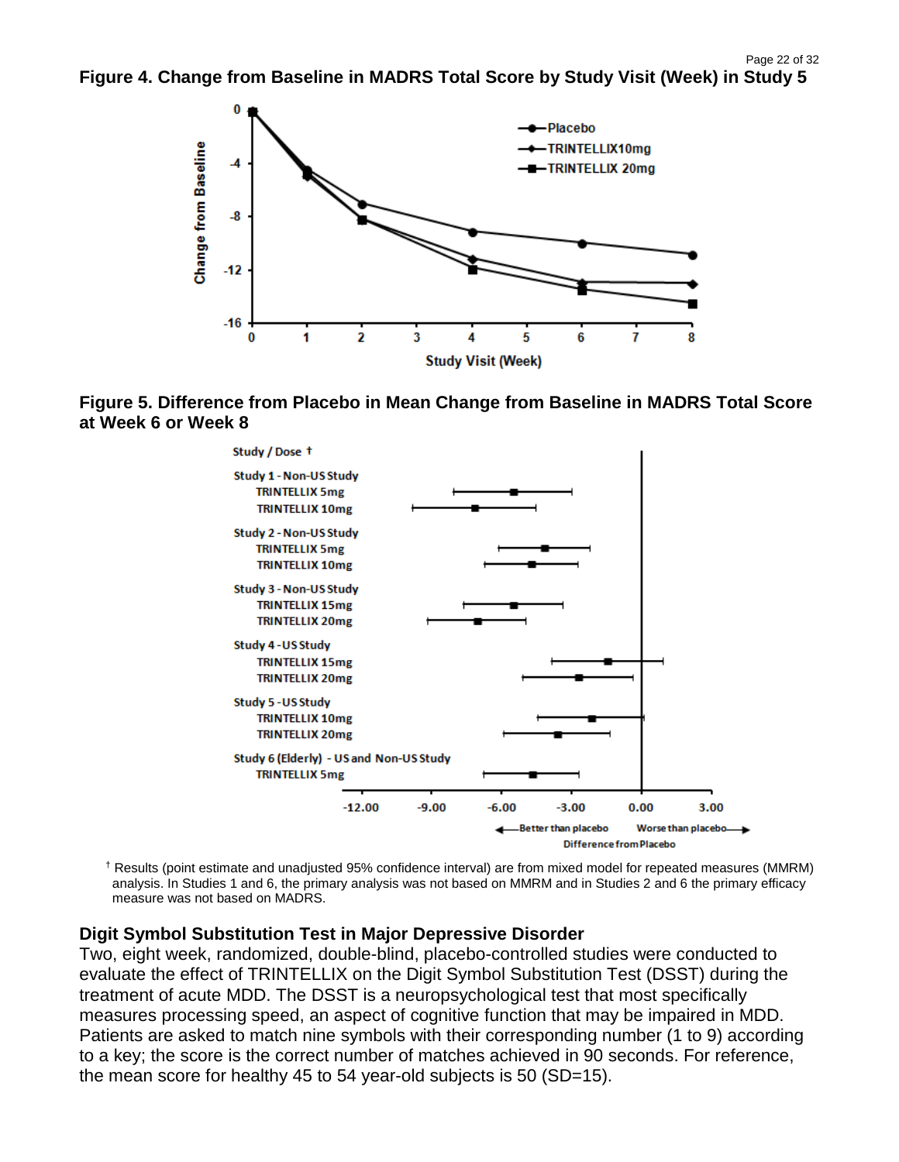

**Figure 5. Difference from Placebo in Mean Change from Baseline in MADRS Total Score at Week 6 or Week 8**



† Results (point estimate and unadjusted 95% confidence interval) are from mixed model for repeated measures (MMRM) analysis. In Studies 1 and 6, the primary analysis was not based on MMRM and in Studies 2 and 6 the primary efficacy measure was not based on MADRS.

#### **Digit Symbol Substitution Test in Major Depressive Disorder**

Two, eight week, randomized, double-blind, placebo-controlled studies were conducted to evaluate the effect of TRINTELLIX on the Digit Symbol Substitution Test (DSST) during the treatment of acute MDD. The DSST is a neuropsychological test that most specifically measures processing speed, an aspect of cognitive function that may be impaired in MDD. Patients are asked to match nine symbols with their corresponding number (1 to 9) according to a key; the score is the correct number of matches achieved in 90 seconds. For reference, the mean score for healthy 45 to 54 year-old subjects is 50 (SD=15).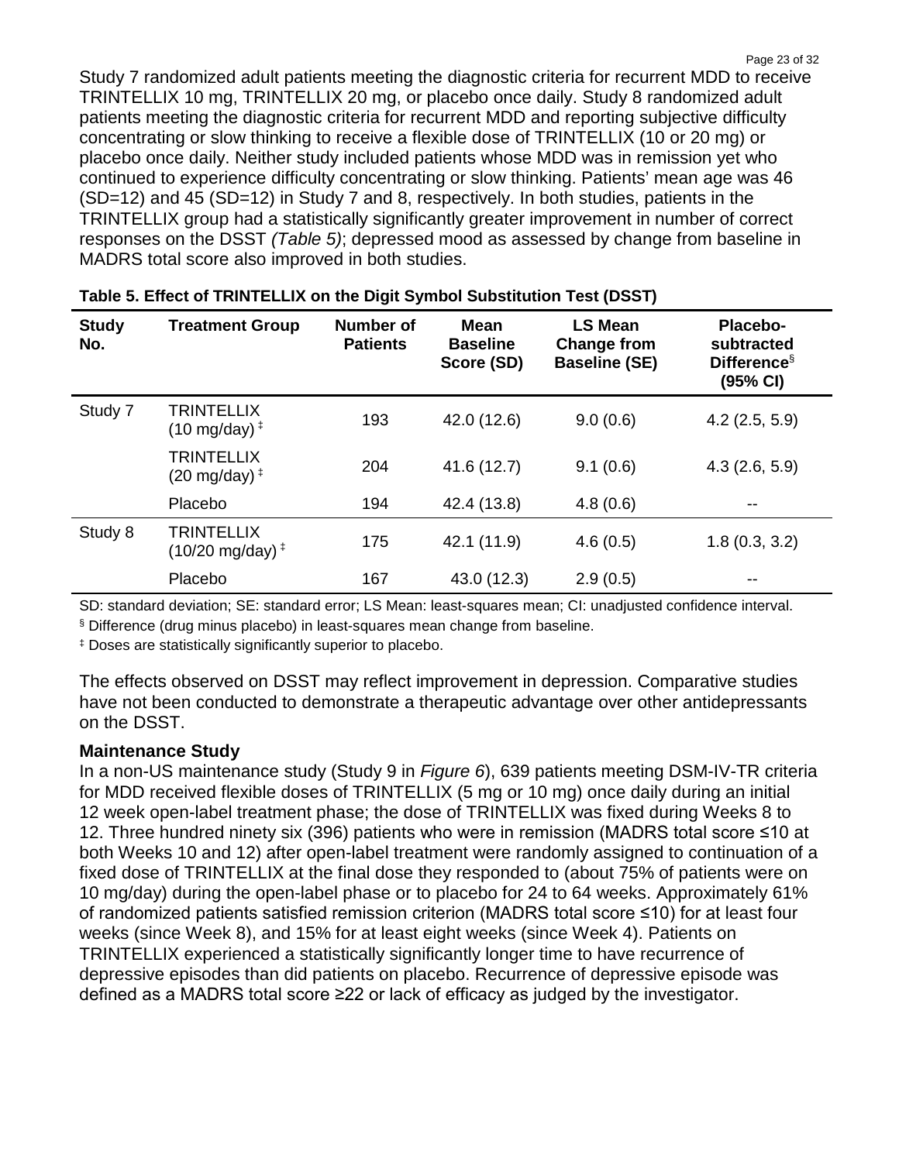Page 23 of 32 Study 7 randomized adult patients meeting the diagnostic criteria for recurrent MDD to receive TRINTELLIX 10 mg, TRINTELLIX 20 mg, or placebo once daily. Study 8 randomized adult patients meeting the diagnostic criteria for recurrent MDD and reporting subjective difficulty concentrating or slow thinking to receive a flexible dose of TRINTELLIX (10 or 20 mg) or placebo once daily. Neither study included patients whose MDD was in remission yet who continued to experience difficulty concentrating or slow thinking. Patients' mean age was 46 (SD=12) and 45 (SD=12) in Study 7 and 8, respectively. In both studies, patients in the TRINTELLIX group had a statistically significantly greater improvement in number of correct responses on the DSST *(Table 5)*; depressed mood as assessed by change from baseline in MADRS total score also improved in both studies.

| <b>Study</b><br>No. | <b>Treatment Group</b>                                   | <b>Number of</b><br><b>Patients</b> | <b>Mean</b><br><b>Baseline</b><br>Score (SD) | <b>LS Mean</b><br><b>Change from</b><br><b>Baseline (SE)</b> | Placebo-<br>subtracted<br>Difference $\S$<br>(95% CI) |
|---------------------|----------------------------------------------------------|-------------------------------------|----------------------------------------------|--------------------------------------------------------------|-------------------------------------------------------|
| Study 7             | <b>TRINTELLIX</b><br>$(10 \text{ mg/day})^{\ddagger}$    | 193                                 | 42.0 (12.6)                                  | 9.0(0.6)                                                     | $4.2$ (2.5, 5.9)                                      |
|                     | <b>TRINTELLIX</b><br>$(20 \text{ mg/day})^{\ddagger}$    | 204                                 | 41.6 (12.7)                                  | 9.1(0.6)                                                     | 4.3(2.6, 5.9)                                         |
|                     | Placebo                                                  | 194                                 | 42.4 (13.8)                                  | 4.8(0.6)                                                     | $- -$                                                 |
| Study 8             | <b>TRINTELLIX</b><br>$(10/20 \text{ mg/day})^{\ddagger}$ | 175                                 | 42.1 (11.9)                                  | 4.6(0.5)                                                     | 1.8(0.3, 3.2)                                         |
|                     | Placebo                                                  | 167                                 | 43.0 (12.3)                                  | 2.9(0.5)                                                     | $- -$                                                 |

#### **Table 5. Effect of TRINTELLIX on the Digit Symbol Substitution Test (DSST)**

SD: standard deviation; SE: standard error; LS Mean: least-squares mean; CI: unadjusted confidence interval.

§ Difference (drug minus placebo) in least-squares mean change from baseline.

‡ Doses are statistically significantly superior to placebo.

The effects observed on DSST may reflect improvement in depression. Comparative studies have not been conducted to demonstrate a therapeutic advantage over other antidepressants on the DSST.

#### **Maintenance Study**

In a non-US maintenance study (Study 9 in *Figure 6*), 639 patients meeting DSM-IV-TR criteria for MDD received flexible doses of TRINTELLIX (5 mg or 10 mg) once daily during an initial 12 week open-label treatment phase; the dose of TRINTELLIX was fixed during Weeks 8 to 12. Three hundred ninety six (396) patients who were in remission (MADRS total score ≤10 at both Weeks 10 and 12) after open-label treatment were randomly assigned to continuation of a fixed dose of TRINTELLIX at the final dose they responded to (about 75% of patients were on 10 mg/day) during the open-label phase or to placebo for 24 to 64 weeks. Approximately 61% of randomized patients satisfied remission criterion (MADRS total score ≤10) for at least four weeks (since Week 8), and 15% for at least eight weeks (since Week 4). Patients on TRINTELLIX experienced a statistically significantly longer time to have recurrence of depressive episodes than did patients on placebo. Recurrence of depressive episode was defined as a MADRS total score ≥22 or lack of efficacy as judged by the investigator.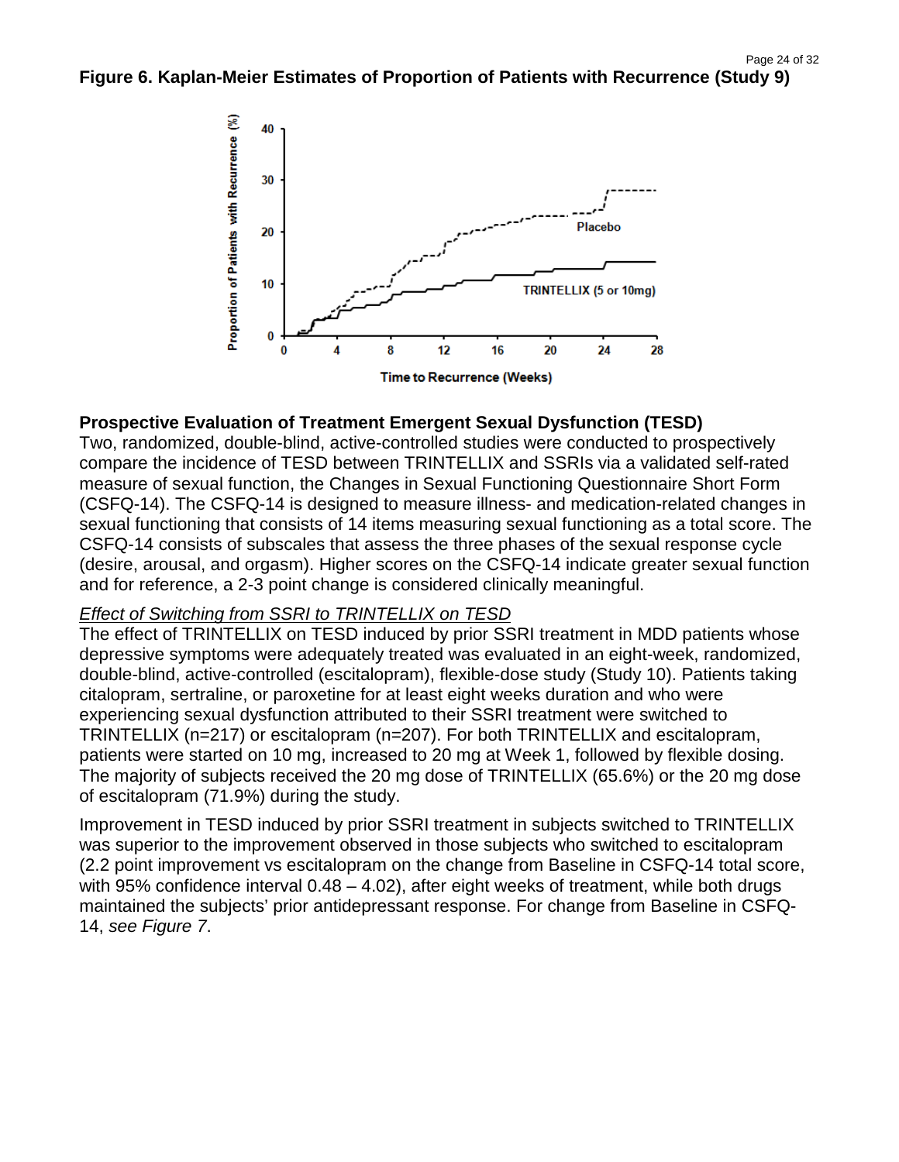

#### **Prospective Evaluation of Treatment Emergent Sexual Dysfunction (TESD)**

Two, randomized, double-blind, active-controlled studies were conducted to prospectively compare the incidence of TESD between TRINTELLIX and SSRIs via a validated self-rated measure of sexual function, the Changes in Sexual Functioning Questionnaire Short Form (CSFQ-14). The CSFQ-14 is designed to measure illness- and medication-related changes in sexual functioning that consists of 14 items measuring sexual functioning as a total score. The CSFQ-14 consists of subscales that assess the three phases of the sexual response cycle (desire, arousal, and orgasm). Higher scores on the CSFQ-14 indicate greater sexual function and for reference, a 2-3 point change is considered clinically meaningful.

#### *Effect of Switching from SSRI to TRINTELLIX on TESD*

The effect of TRINTELLIX on TESD induced by prior SSRI treatment in MDD patients whose depressive symptoms were adequately treated was evaluated in an eight-week, randomized, double-blind, active-controlled (escitalopram), flexible-dose study (Study 10). Patients taking citalopram, sertraline, or paroxetine for at least eight weeks duration and who were experiencing sexual dysfunction attributed to their SSRI treatment were switched to TRINTELLIX (n=217) or escitalopram (n=207). For both TRINTELLIX and escitalopram, patients were started on 10 mg, increased to 20 mg at Week 1, followed by flexible dosing. The majority of subjects received the 20 mg dose of TRINTELLIX (65.6%) or the 20 mg dose of escitalopram (71.9%) during the study.

Improvement in TESD induced by prior SSRI treatment in subjects switched to TRINTELLIX was superior to the improvement observed in those subjects who switched to escitalopram (2.2 point improvement vs escitalopram on the change from Baseline in CSFQ-14 total score, with 95% confidence interval 0.48 – 4.02), after eight weeks of treatment, while both drugs maintained the subjects' prior antidepressant response. For change from Baseline in CSFQ-14, *see Figure 7*.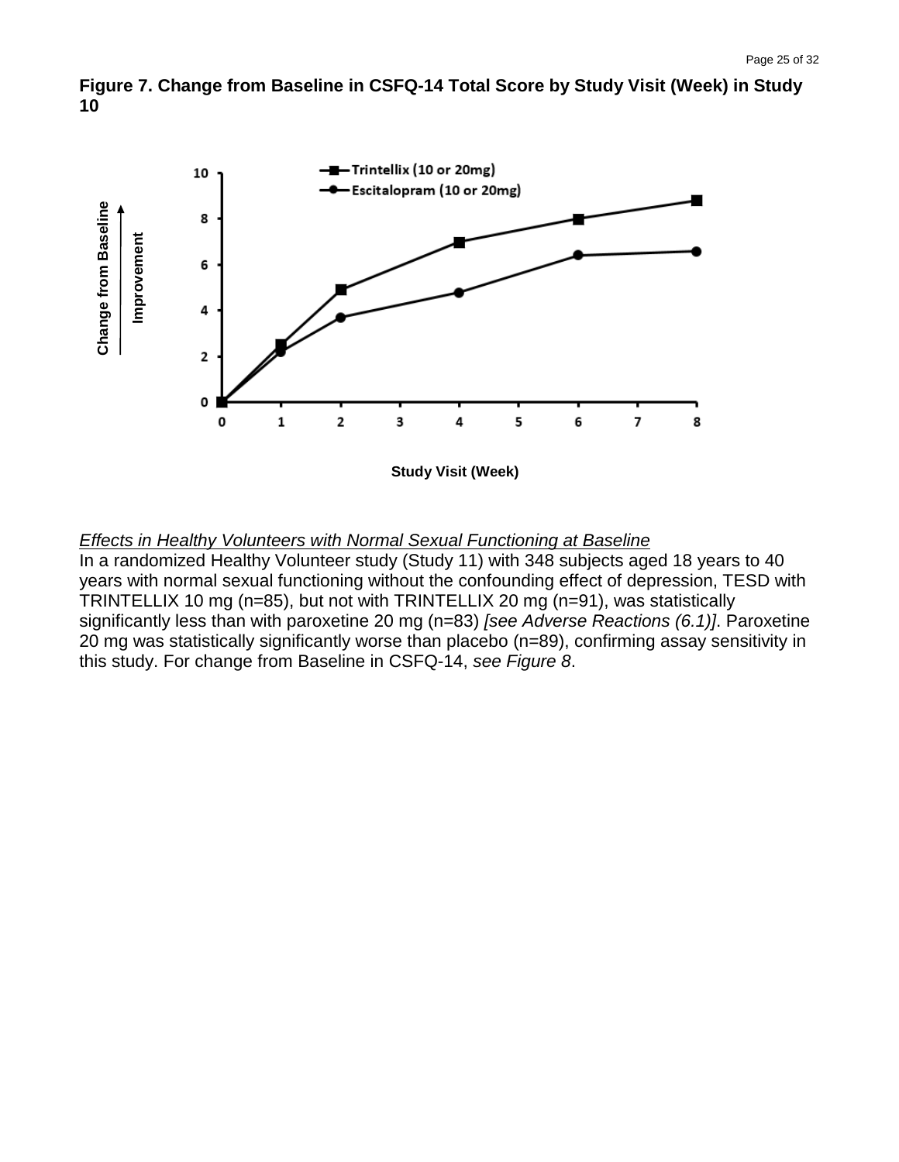



#### *Effects in Healthy Volunteers with Normal Sexual Functioning at Baseline*

In a randomized Healthy Volunteer study (Study 11) with 348 subjects aged 18 years to 40 years with normal sexual functioning without the confounding effect of depression, TESD with TRINTELLIX 10 mg (n=85), but not with TRINTELLIX 20 mg (n=91), was statistically significantly less than with paroxetine 20 mg (n=83) *[see Adverse Reactions (6.1)]*. Paroxetine 20 mg was statistically significantly worse than placebo (n=89), confirming assay sensitivity in this study. For change from Baseline in CSFQ-14, *see Figure 8*.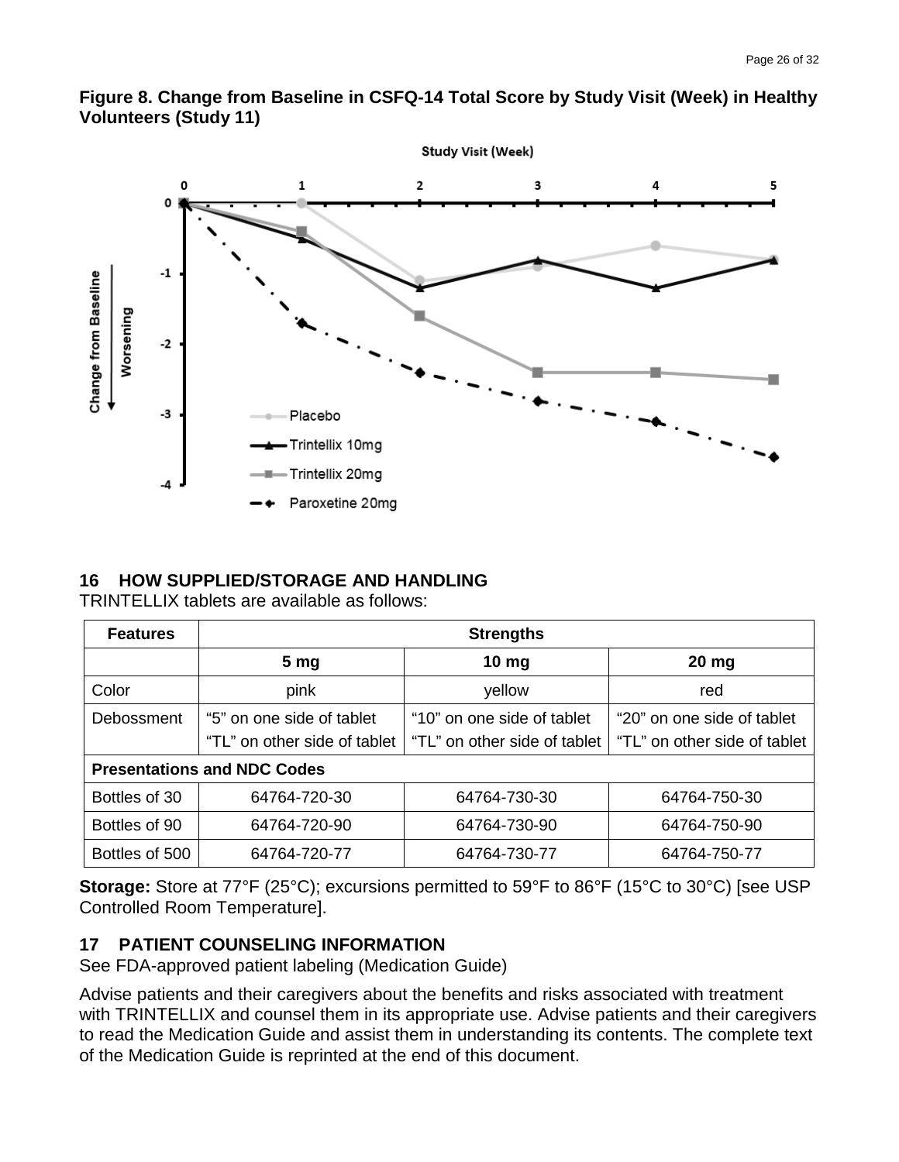



#### **16 HOW SUPPLIED/STORAGE AND HANDLING**

TRINTELLIX tablets are available as follows:

| <b>Features</b> | <b>Strengths</b>                   |                              |                              |  |  |  |
|-----------------|------------------------------------|------------------------------|------------------------------|--|--|--|
|                 | 5 <sub>mg</sub>                    | 10 <sub>mg</sub>             | $20$ mg                      |  |  |  |
| Color           | pink                               | yellow                       | red                          |  |  |  |
| Debossment      | "5" on one side of tablet          | "10" on one side of tablet   | "20" on one side of tablet   |  |  |  |
|                 | "TL" on other side of tablet       | "TL" on other side of tablet | "TL" on other side of tablet |  |  |  |
|                 | <b>Presentations and NDC Codes</b> |                              |                              |  |  |  |
| Bottles of 30   | 64764-720-30                       | 64764-730-30                 | 64764-750-30                 |  |  |  |
| Bottles of 90   | 64764-720-90                       | 64764-730-90                 | 64764-750-90                 |  |  |  |
| Bottles of 500  | 64764-720-77                       | 64764-730-77                 | 64764-750-77                 |  |  |  |

**Storage:** Store at 77°F (25°C); excursions permitted to 59°F to 86°F (15°C to 30°C) [see USP Controlled Room Temperature].

#### **17 PATIENT COUNSELING INFORMATION**

See FDA-approved patient labeling (Medication Guide)

Advise patients and their caregivers about the benefits and risks associated with treatment with TRINTELLIX and counsel them in its appropriate use. Advise patients and their caregivers to read the Medication Guide and assist them in understanding its contents. The complete text of the Medication Guide is reprinted at the end of this document.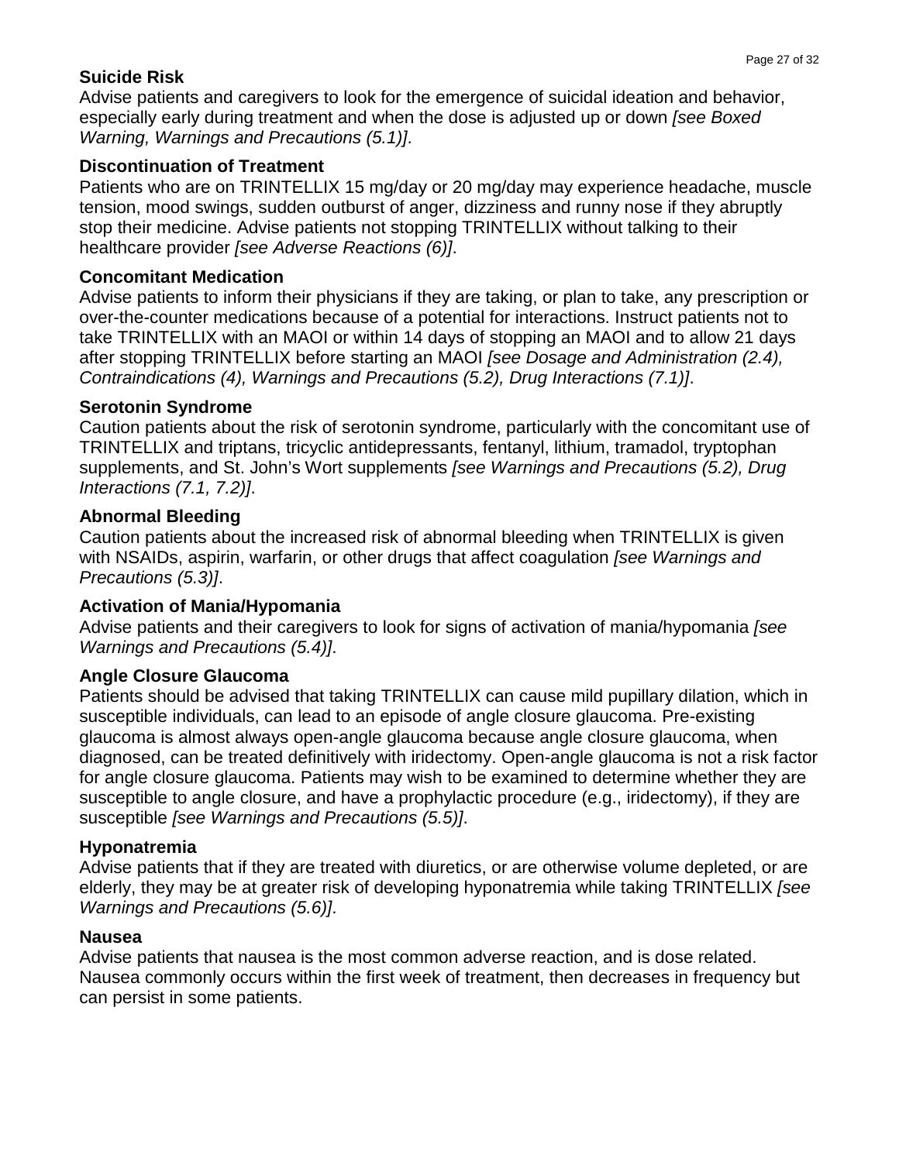### **Suicide Risk**

Advise patients and caregivers to look for the emergence of suicidal ideation and behavior, especially early during treatment and when the dose is adjusted up or down *[see Boxed Warning, Warnings and Precautions (5.1)]*.

### **Discontinuation of Treatment**

Patients who are on TRINTELLIX 15 mg/day or 20 mg/day may experience headache, muscle tension, mood swings, sudden outburst of anger, dizziness and runny nose if they abruptly stop their medicine. Advise patients not stopping TRINTELLIX without talking to their healthcare provider *[see Adverse Reactions (6)]*.

### **Concomitant Medication**

Advise patients to inform their physicians if they are taking, or plan to take, any prescription or over-the-counter medications because of a potential for interactions. Instruct patients not to take TRINTELLIX with an MAOI or within 14 days of stopping an MAOI and to allow 21 days after stopping TRINTELLIX before starting an MAOI *[see Dosage and Administration (2.4), Contraindications (4), Warnings and Precautions (5.2), Drug Interactions (7.1)]*.

### **Serotonin Syndrome**

Caution patients about the risk of serotonin syndrome, particularly with the concomitant use of TRINTELLIX and triptans, tricyclic antidepressants, fentanyl, lithium, tramadol, tryptophan supplements, and St. John's Wort supplements *[see Warnings and Precautions (5.2), Drug Interactions (7.1, 7.2)]*.

# **Abnormal Bleeding**

Caution patients about the increased risk of abnormal bleeding when TRINTELLIX is given with NSAIDs, aspirin, warfarin, or other drugs that affect coagulation *[see Warnings and Precautions (5.3)]*.

# **Activation of Mania/Hypomania**

Advise patients and their caregivers to look for signs of activation of mania/hypomania *[see Warnings and Precautions (5.4)]*.

# **Angle Closure Glaucoma**

Patients should be advised that taking TRINTELLIX can cause mild pupillary dilation, which in susceptible individuals, can lead to an episode of angle closure glaucoma. Pre-existing glaucoma is almost always open-angle glaucoma because angle closure glaucoma, when diagnosed, can be treated definitively with iridectomy. Open-angle glaucoma is not a risk factor for angle closure glaucoma. Patients may wish to be examined to determine whether they are susceptible to angle closure, and have a prophylactic procedure (e.g., iridectomy), if they are susceptible *[see Warnings and Precautions (5.5)]*.

# **Hyponatremia**

Advise patients that if they are treated with diuretics, or are otherwise volume depleted, or are elderly, they may be at greater risk of developing hyponatremia while taking TRINTELLIX *[see Warnings and Precautions (5.6)]*.

# **Nausea**

Advise patients that nausea is the most common adverse reaction, and is dose related. Nausea commonly occurs within the first week of treatment, then decreases in frequency but can persist in some patients.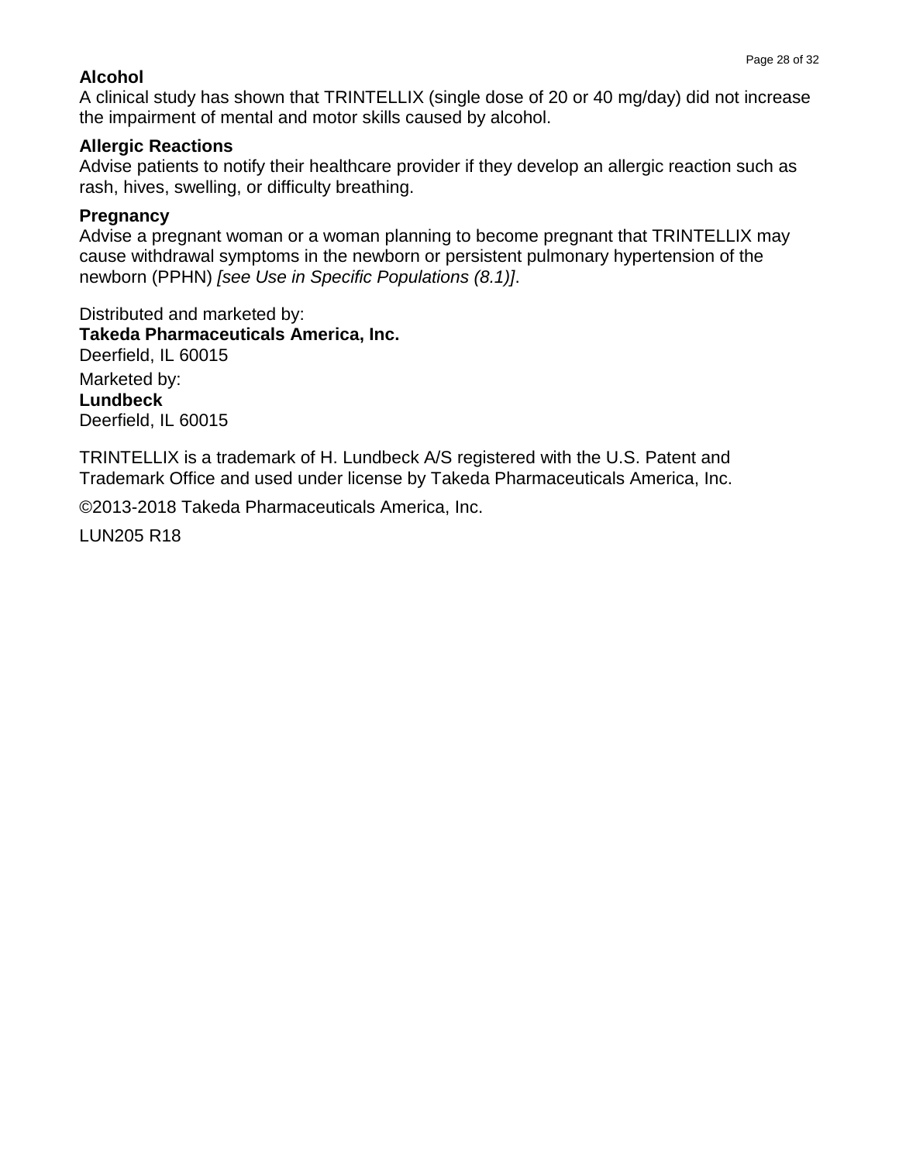#### **Alcohol**

A clinical study has shown that TRINTELLIX (single dose of 20 or 40 mg/day) did not increase the impairment of mental and motor skills caused by alcohol.

#### **Allergic Reactions**

Advise patients to notify their healthcare provider if they develop an allergic reaction such as rash, hives, swelling, or difficulty breathing.

#### **Pregnancy**

Advise a pregnant woman or a woman planning to become pregnant that TRINTELLIX may cause withdrawal symptoms in the newborn or persistent pulmonary hypertension of the newborn (PPHN) *[see Use in Specific Populations (8.1)]*.

Distributed and marketed by: **Takeda Pharmaceuticals America, Inc.** Deerfield, IL 60015 Marketed by: **Lundbeck** Deerfield, IL 60015

TRINTELLIX is a trademark of H. Lundbeck A/S registered with the U.S. Patent and Trademark Office and used under license by Takeda Pharmaceuticals America, Inc.

©2013-2018 Takeda Pharmaceuticals America, Inc.

LUN205 R18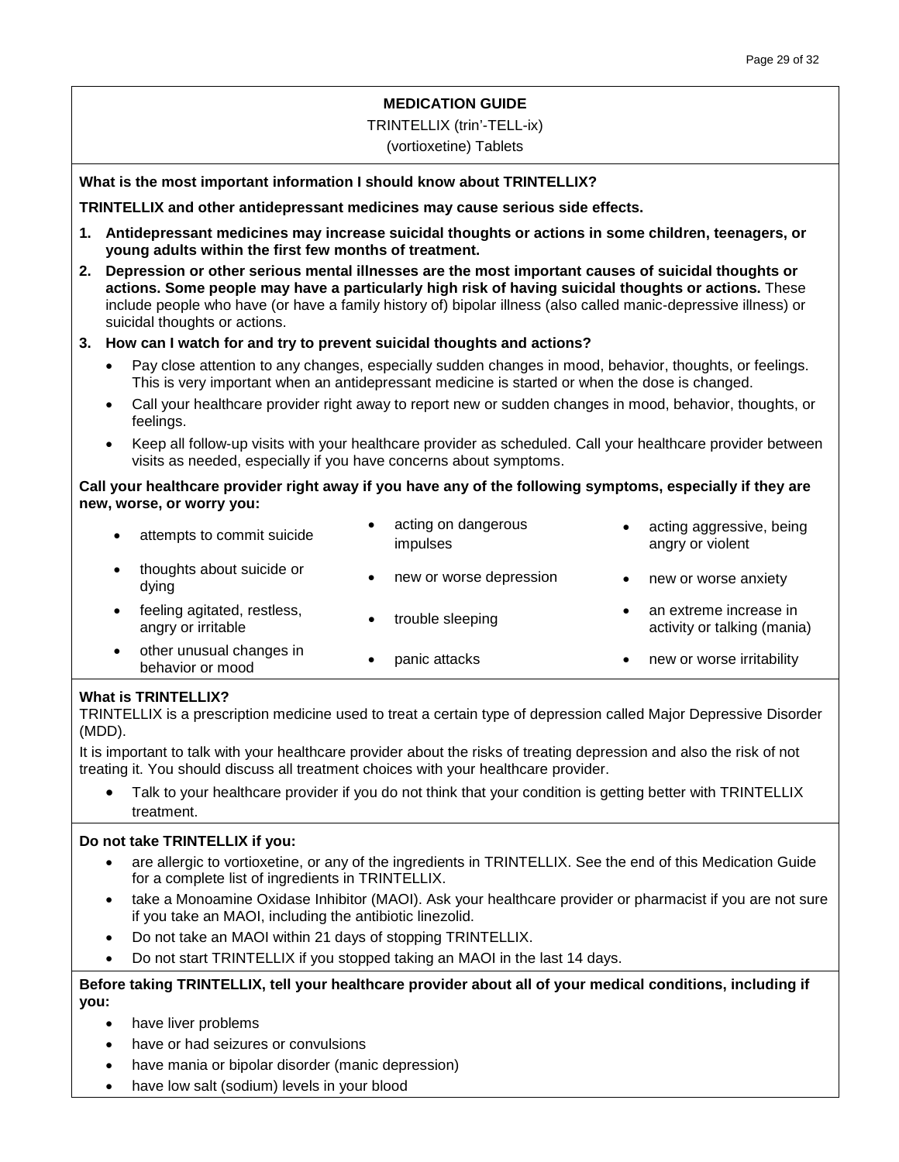#### **MEDICATION GUIDE**

#### TRINTELLIX (trin'-TELL-ix)

#### (vortioxetine) Tablets

#### **What is the most important information I should know about TRINTELLIX?**

**TRINTELLIX and other antidepressant medicines may cause serious side effects.**

- **1. Antidepressant medicines may increase suicidal thoughts or actions in some children, teenagers, or young adults within the first few months of treatment.**
- **2. Depression or other serious mental illnesses are the most important causes of suicidal thoughts or actions. Some people may have a particularly high risk of having suicidal thoughts or actions.** These include people who have (or have a family history of) bipolar illness (also called manic-depressive illness) or suicidal thoughts or actions.

#### **3. How can I watch for and try to prevent suicidal thoughts and actions?**

- Pay close attention to any changes, especially sudden changes in mood, behavior, thoughts, or feelings. This is very important when an antidepressant medicine is started or when the dose is changed.
- Call your healthcare provider right away to report new or sudden changes in mood, behavior, thoughts, or feelings.
- Keep all follow-up visits with your healthcare provider as scheduled. Call your healthcare provider between visits as needed, especially if you have concerns about symptoms.

#### **Call your healthcare provider right away if you have any of the following symptoms, especially if they are new, worse, or worry you:**

| attempts to commit suicide                        | acting on dangerous<br>impulses | acting aggressive, being<br>angry or violent          |
|---------------------------------------------------|---------------------------------|-------------------------------------------------------|
| thoughts about suicide or<br>dving                | new or worse depression         | new or worse anxiety                                  |
| feeling agitated, restless,<br>angry or irritable | trouble sleeping                | an extreme increase in<br>activity or talking (mania) |
| other unusual changes in<br>behavior or mood      | panic attacks                   | new or worse irritability                             |

#### **What is TRINTELLIX?**

TRINTELLIX is a prescription medicine used to treat a certain type of depression called Major Depressive Disorder (MDD).

It is important to talk with your healthcare provider about the risks of treating depression and also the risk of not treating it. You should discuss all treatment choices with your healthcare provider.

Talk to your healthcare provider if you do not think that your condition is getting better with TRINTELLIX treatment.

#### **Do not take TRINTELLIX if you:**

- are allergic to vortioxetine, or any of the ingredients in TRINTELLIX. See the end of this Medication Guide for a complete list of ingredients in TRINTELLIX.
- take a Monoamine Oxidase Inhibitor (MAOI). Ask your healthcare provider or pharmacist if you are not sure if you take an MAOI, including the antibiotic linezolid.
- Do not take an MAOI within 21 days of stopping TRINTELLIX.
- Do not start TRINTELLIX if you stopped taking an MAOI in the last 14 days.

#### **Before taking TRINTELLIX, tell your healthcare provider about all of your medical conditions, including if you:**

- have liver problems
- have or had seizures or convulsions
- have mania or bipolar disorder (manic depression)
- have low salt (sodium) levels in your blood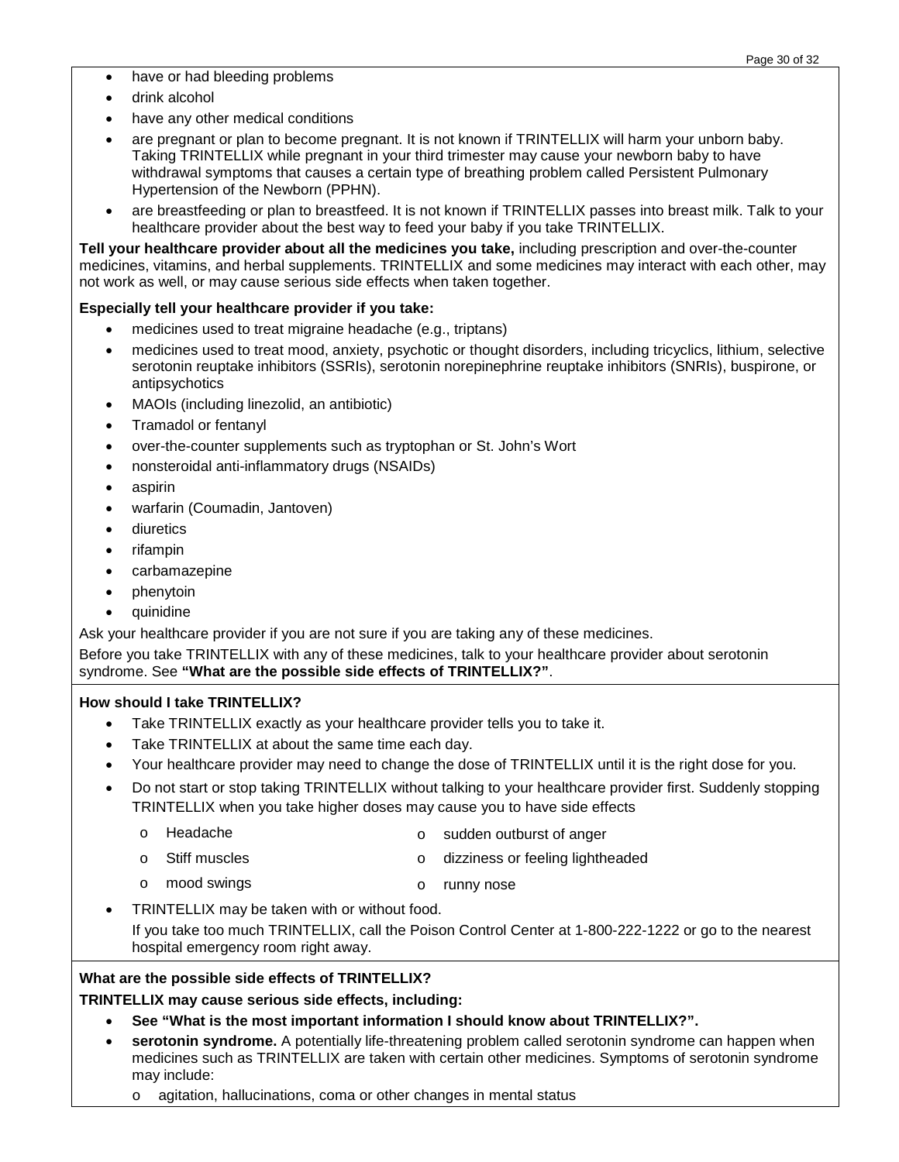- have or had bleeding problems
- drink alcohol
- have any other medical conditions
- are pregnant or plan to become pregnant. It is not known if TRINTELLIX will harm your unborn baby. Taking TRINTELLIX while pregnant in your third trimester may cause your newborn baby to have withdrawal symptoms that causes a certain type of breathing problem called Persistent Pulmonary Hypertension of the Newborn (PPHN).
- are breastfeeding or plan to breastfeed. It is not known if TRINTELLIX passes into breast milk. Talk to your healthcare provider about the best way to feed your baby if you take TRINTELLIX.

**Tell your healthcare provider about all the medicines you take,** including prescription and over-the-counter medicines, vitamins, and herbal supplements. TRINTELLIX and some medicines may interact with each other, may not work as well, or may cause serious side effects when taken together.

#### **Especially tell your healthcare provider if you take:**

- medicines used to treat migraine headache (e.g., triptans)
- medicines used to treat mood, anxiety, psychotic or thought disorders, including tricyclics, lithium, selective serotonin reuptake inhibitors (SSRIs), serotonin norepinephrine reuptake inhibitors (SNRIs), buspirone, or antipsychotics
- MAOIs (including linezolid, an antibiotic)
- Tramadol or fentanyl
- over-the-counter supplements such as tryptophan or St. John's Wort
- nonsteroidal anti-inflammatory drugs (NSAIDs)
- aspirin
- warfarin (Coumadin, Jantoven)
- diuretics
- rifampin
- carbamazepine
- phenytoin
- quinidine

Ask your healthcare provider if you are not sure if you are taking any of these medicines.

Before you take TRINTELLIX with any of these medicines, talk to your healthcare provider about serotonin syndrome. See **"What are the possible side effects of TRINTELLIX?"**.

#### **How should I take TRINTELLIX?**

- Take TRINTELLIX exactly as your healthcare provider tells you to take it.
- Take TRINTELLIX at about the same time each day.
- Your healthcare provider may need to change the dose of TRINTELLIX until it is the right dose for you.
- Do not start or stop taking TRINTELLIX without talking to your healthcare provider first. Suddenly stopping TRINTELLIX when you take higher doses may cause you to have side effects
	- o Headache o sudden outburst of anger
	- o Stiff muscles o dizziness or feeling lightheaded
	- o mood swings o runny nose
- TRINTELLIX may be taken with or without food.

If you take too much TRINTELLIX, call the Poison Control Center at 1-800-222-1222 or go to the nearest hospital emergency room right away.

#### **What are the possible side effects of TRINTELLIX?**

**TRINTELLIX may cause serious side effects, including:**

- **See "What is the most important information I should know about TRINTELLIX?".**
- **serotonin syndrome.** A potentially life-threatening problem called serotonin syndrome can happen when medicines such as TRINTELLIX are taken with certain other medicines. Symptoms of serotonin syndrome may include:
	- o agitation, hallucinations, coma or other changes in mental status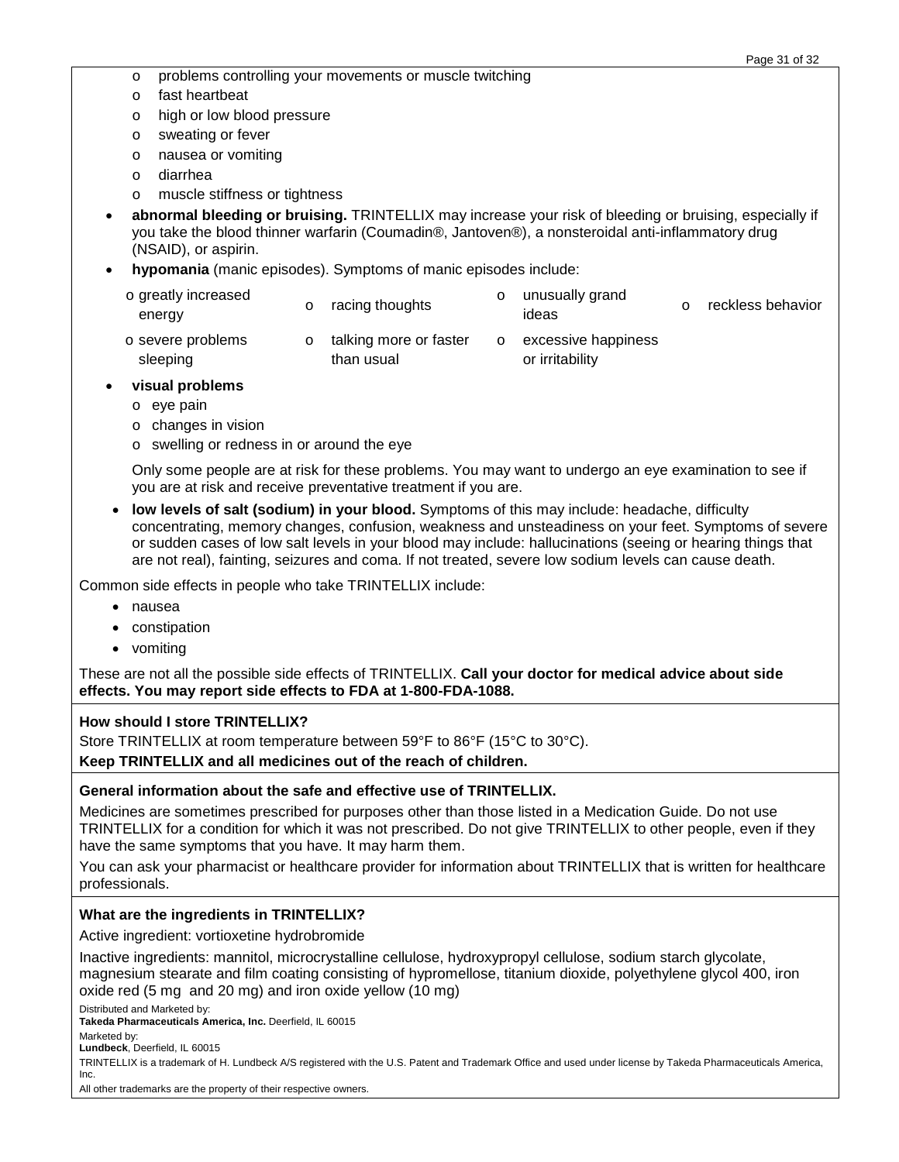- o problems controlling your movements or muscle twitching
- o fast heartbeat
- o high or low blood pressure
- o sweating or fever
- o nausea or vomiting
- o diarrhea
- o muscle stiffness or tightness
- **abnormal bleeding or bruising.** TRINTELLIX may increase your risk of bleeding or bruising, especially if you take the blood thinner warfarin (Coumadin®, Jantoven®), a nonsteroidal anti-inflammatory drug (NSAID), or aspirin.
- **hypomania** (manic episodes). Symptoms of manic episodes include:
	- o greatly increased energy o racing thoughts o unusually grand<br>
	ideas reckless behavior o severe problems sleeping o talking more or faster than usual o excessive happiness or irritability
- **visual problems**
	- o eye pain
	- o changes in vision
	- o swelling or redness in or around the eye

Only some people are at risk for these problems. You may want to undergo an eye examination to see if you are at risk and receive preventative treatment if you are.

• **low levels of salt (sodium) in your blood.** Symptoms of this may include: headache, difficulty concentrating, memory changes, confusion, weakness and unsteadiness on your feet. Symptoms of severe or sudden cases of low salt levels in your blood may include: hallucinations (seeing or hearing things that are not real), fainting, seizures and coma. If not treated, severe low sodium levels can cause death.

Common side effects in people who take TRINTELLIX include:

- nausea
- constipation
- vomiting

These are not all the possible side effects of TRINTELLIX. **Call your doctor for medical advice about side effects. You may report side effects to FDA at 1-800-FDA-1088.**

#### **How should I store TRINTELLIX?**

Store TRINTELLIX at room temperature between 59°F to 86°F (15°C to 30°C).

**Keep TRINTELLIX and all medicines out of the reach of children.**

#### **General information about the safe and effective use of TRINTELLIX.**

Medicines are sometimes prescribed for purposes other than those listed in a Medication Guide. Do not use TRINTELLIX for a condition for which it was not prescribed. Do not give TRINTELLIX to other people, even if they have the same symptoms that you have. It may harm them.

You can ask your pharmacist or healthcare provider for information about TRINTELLIX that is written for healthcare professionals.

#### **What are the ingredients in TRINTELLIX?**

Active ingredient: vortioxetine hydrobromide

Inactive ingredients: mannitol, microcrystalline cellulose, hydroxypropyl cellulose, sodium starch glycolate, magnesium stearate and film coating consisting of hypromellose, titanium dioxide, polyethylene glycol 400, iron oxide red (5 mg and 20 mg) and iron oxide yellow (10 mg)

Distributed and Marketed by:

**Takeda Pharmaceuticals America, Inc.** Deerfield, IL 60015

Marketed by:

**Lundbeck**, Deerfield, IL 60015

TRINTELLIX is a trademark of H. Lundbeck A/S registered with the U.S. Patent and Trademark Office and used under license by Takeda Pharmaceuticals America, Inc.

All other trademarks are the property of their respective owners.